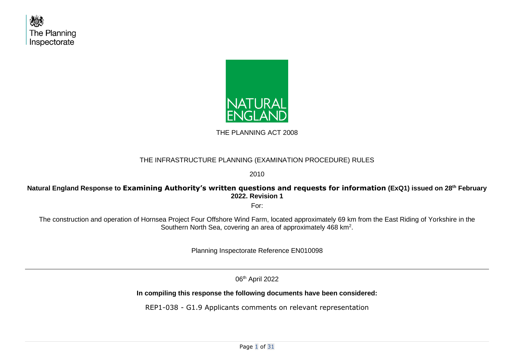



THE PLANNING ACT 2008

### THE INFRASTRUCTURE PLANNING (EXAMINATION PROCEDURE) RULES

2010

### **Natural England Response to Examining Authority's written questions and requests for information (ExQ1) issued on 28th February 2022. Revision 1**

For:

The construction and operation of Hornsea Project Four Offshore Wind Farm, located approximately 69 km from the East Riding of Yorkshire in the Southern North Sea, covering an area of approximately 468  $km<sup>2</sup>$ .

Planning Inspectorate Reference EN010098

06<sup>th</sup> April 2022

**In compiling this response the following documents have been considered:**

REP1-038 - G1.9 Applicants comments on relevant representation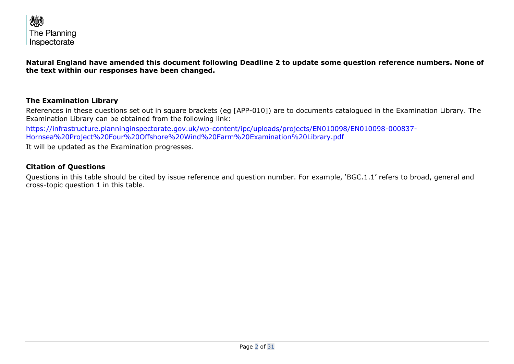

**Natural England have amended this document following Deadline 2 to update some question reference numbers. None of the text within our responses have been changed.** 

#### **The Examination Library**

References in these questions set out in square brackets (eg [APP-010]) are to documents catalogued in the Examination Library. The Examination Library can be obtained from the following link:

[https://infrastructure.planninginspectorate.gov.uk/wp-content/ipc/uploads/projects/EN010098/EN010098-000837-](https://infrastructure.planninginspectorate.gov.uk/wp-content/ipc/uploads/projects/EN010098/EN010098-000837-Hornsea%20Project%20Four%20Offshore%20Wind%20Farm%20Examination%20Library.pdf) [Hornsea%20Project%20Four%20Offshore%20Wind%20Farm%20Examination%20Library.pdf](https://infrastructure.planninginspectorate.gov.uk/wp-content/ipc/uploads/projects/EN010098/EN010098-000837-Hornsea%20Project%20Four%20Offshore%20Wind%20Farm%20Examination%20Library.pdf)

It will be updated as the Examination progresses.

#### **Citation of Questions**

Questions in this table should be cited by issue reference and question number. For example, 'BGC.1.1' refers to broad, general and cross-topic question 1 in this table.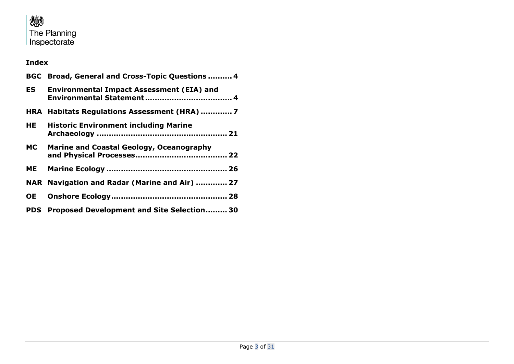

### **Index**

|                    | BGC Broad, General and Cross-Topic Questions  4  |
|--------------------|--------------------------------------------------|
| ES <b>De la po</b> | <b>Environmental Impact Assessment (EIA) and</b> |
|                    |                                                  |
| HE                 | <b>Historic Environment including Marine</b>     |
|                    | MC Marine and Coastal Geology, Oceanography      |
|                    |                                                  |
|                    | NAR Navigation and Radar (Marine and Air)  27    |
| <b>OE</b>          |                                                  |
|                    | PDS Proposed Development and Site Selection 30   |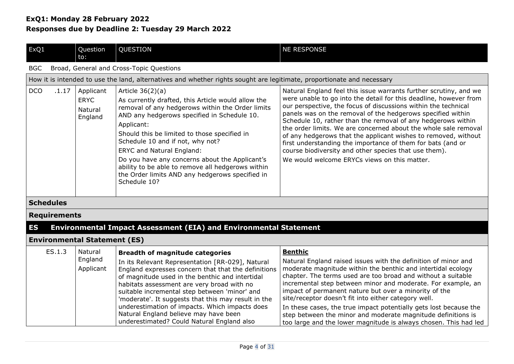<span id="page-3-0"></span>

| ExQ1                | Question<br>to:                                                          | QUESTION                                                                                                                                                                                                                                                                                                                                                                                                                                                                                    | <b>NE RESPONSE</b>                                                                                                                                                                                                                                                                                                                                                                                                                                                                                                                                                                                                                                   |  |
|---------------------|--------------------------------------------------------------------------|---------------------------------------------------------------------------------------------------------------------------------------------------------------------------------------------------------------------------------------------------------------------------------------------------------------------------------------------------------------------------------------------------------------------------------------------------------------------------------------------|------------------------------------------------------------------------------------------------------------------------------------------------------------------------------------------------------------------------------------------------------------------------------------------------------------------------------------------------------------------------------------------------------------------------------------------------------------------------------------------------------------------------------------------------------------------------------------------------------------------------------------------------------|--|
| <b>BGC</b>          |                                                                          | Broad, General and Cross-Topic Questions                                                                                                                                                                                                                                                                                                                                                                                                                                                    |                                                                                                                                                                                                                                                                                                                                                                                                                                                                                                                                                                                                                                                      |  |
|                     |                                                                          | How it is intended to use the land, alternatives and whether rights sought are legitimate, proportionate and necessary                                                                                                                                                                                                                                                                                                                                                                      |                                                                                                                                                                                                                                                                                                                                                                                                                                                                                                                                                                                                                                                      |  |
| <b>DCO</b><br>.1.17 | Applicant<br><b>ERYC</b><br>Natural<br>England                           | Article $36(2)(a)$<br>As currently drafted, this Article would allow the<br>removal of any hedgerows within the Order limits<br>AND any hedgerows specified in Schedule 10.<br>Applicant:<br>Should this be limited to those specified in<br>Schedule 10 and if not, why not?<br><b>ERYC and Natural England:</b><br>Do you have any concerns about the Applicant's<br>ability to be able to remove all hedgerows within<br>the Order limits AND any hedgerows specified in<br>Schedule 10? | Natural England feel this issue warrants further scrutiny, and we<br>were unable to go into the detail for this deadline, however from<br>our perspective, the focus of discussions within the technical<br>panels was on the removal of the hedgerows specified within<br>Schedule 10, rather than the removal of any hedgerows within<br>the order limits. We are concerned about the whole sale removal<br>of any hedgerows that the applicant wishes to removed, without<br>first understanding the importance of them for bats (and or<br>course biodiversity and other species that use them).<br>We would welcome ERYCs views on this matter. |  |
| <b>Schedules</b>    |                                                                          |                                                                                                                                                                                                                                                                                                                                                                                                                                                                                             |                                                                                                                                                                                                                                                                                                                                                                                                                                                                                                                                                                                                                                                      |  |
| <b>Requirements</b> |                                                                          |                                                                                                                                                                                                                                                                                                                                                                                                                                                                                             |                                                                                                                                                                                                                                                                                                                                                                                                                                                                                                                                                                                                                                                      |  |
| <b>ES</b>           | <b>Environmental Impact Assessment (EIA) and Environmental Statement</b> |                                                                                                                                                                                                                                                                                                                                                                                                                                                                                             |                                                                                                                                                                                                                                                                                                                                                                                                                                                                                                                                                                                                                                                      |  |
|                     | <b>Environmental Statement (ES)</b>                                      |                                                                                                                                                                                                                                                                                                                                                                                                                                                                                             |                                                                                                                                                                                                                                                                                                                                                                                                                                                                                                                                                                                                                                                      |  |
| ES.1.3              | Natural<br>England                                                       | <b>Breadth of magnitude categories</b><br>In its Relevant Representation [RR-029] Natural                                                                                                                                                                                                                                                                                                                                                                                                   | <b>Benthic</b><br>Natural England raised issues with the definition of minor and                                                                                                                                                                                                                                                                                                                                                                                                                                                                                                                                                                     |  |

<span id="page-3-1"></span>

| England<br>Applicant | In its Relevant Representation [RR-029], Natural<br>of magnitude used in the benthic and intertidal<br>habitats assessment are very broad with no<br>suitable incremental step between 'minor' and<br>'moderate'. It suggests that this may result in the | Natural England raised issues with the definition of minor and<br>England expresses concern that that the definitions   moderate magnitude within the benthic and intertidal ecology<br>chapter. The terms used are too broad and without a suitable<br>incremental step between minor and moderate. For example, an<br>impact of permanent nature but over a minority of the<br>site/receptor doesn't fit into either category well. |
|----------------------|-----------------------------------------------------------------------------------------------------------------------------------------------------------------------------------------------------------------------------------------------------------|---------------------------------------------------------------------------------------------------------------------------------------------------------------------------------------------------------------------------------------------------------------------------------------------------------------------------------------------------------------------------------------------------------------------------------------|
|                      | underestimation of impacts. Which impacts does<br>Natural England believe may have been<br>underestimated? Could Natural England also                                                                                                                     | In these cases, the true impact potentially gets lost because the<br>step between the minor and moderate magnitude definitions is<br>too large and the lower magnitude is always chosen. This had led                                                                                                                                                                                                                                 |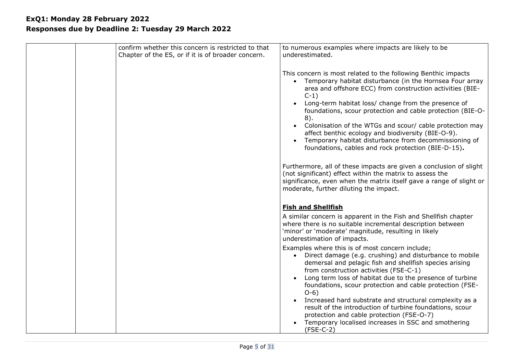| confirm whether this concern is restricted to that | to numerous examples where impacts are likely to be                                                                                                                                                                                                                                                                                                                                                                                                                                                                                                              |
|----------------------------------------------------|------------------------------------------------------------------------------------------------------------------------------------------------------------------------------------------------------------------------------------------------------------------------------------------------------------------------------------------------------------------------------------------------------------------------------------------------------------------------------------------------------------------------------------------------------------------|
| Chapter of the ES, or if it is of broader concern. | underestimated.                                                                                                                                                                                                                                                                                                                                                                                                                                                                                                                                                  |
|                                                    |                                                                                                                                                                                                                                                                                                                                                                                                                                                                                                                                                                  |
|                                                    | This concern is most related to the following Benthic impacts<br>• Temporary habitat disturbance (in the Hornsea Four array<br>area and offshore ECC) from construction activities (BIE-<br>$C-1)$<br>Long-term habitat loss/ change from the presence of<br>foundations, scour protection and cable protection (BIE-O-<br>8).<br>Colonisation of the WTGs and scour/ cable protection may<br>affect benthic ecology and biodiversity (BIE-O-9).<br>Temporary habitat disturbance from decommissioning of<br>foundations, cables and rock protection (BIE-D-15). |
|                                                    | Furthermore, all of these impacts are given a conclusion of slight<br>(not significant) effect within the matrix to assess the<br>significance, even when the matrix itself gave a range of slight or<br>moderate, further diluting the impact.                                                                                                                                                                                                                                                                                                                  |
|                                                    | <b>Fish and Shellfish</b>                                                                                                                                                                                                                                                                                                                                                                                                                                                                                                                                        |
|                                                    | A similar concern is apparent in the Fish and Shellfish chapter<br>where there is no suitable incremental description between<br>'minor' or 'moderate' magnitude, resulting in likely<br>underestimation of impacts.                                                                                                                                                                                                                                                                                                                                             |
|                                                    | Examples where this is of most concern include;<br>• Direct damage (e.g. crushing) and disturbance to mobile<br>demersal and pelagic fish and shellfish species arising<br>from construction activities (FSE-C-1)<br>Long term loss of habitat due to the presence of turbine<br>foundations, scour protection and cable protection (FSE-<br>$O-6$ )<br>Increased hard substrate and structural complexity as a<br>result of the introduction of turbine foundations, scour<br>protection and cable protection (FSE-O-7)                                         |
|                                                    | Temporary localised increases in SSC and smothering<br>$(FSE-C-2)$                                                                                                                                                                                                                                                                                                                                                                                                                                                                                               |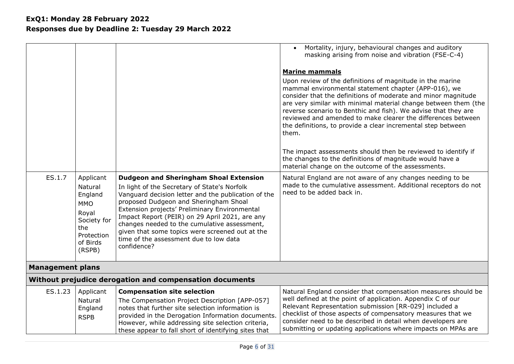| ES.1.7                  | Applicant<br>Natural<br>England<br><b>MMO</b><br>Royal<br>Society for<br>the<br>Protection<br>of Birds<br>(RSPB) | <b>Dudgeon and Sheringham Shoal Extension</b><br>In light of the Secretary of State's Norfolk<br>Vanguard decision letter and the publication of the<br>proposed Dudgeon and Sheringham Shoal<br>Extension projects' Preliminary Environmental<br>Impact Report (PEIR) on 29 April 2021, are any<br>changes needed to the cumulative assessment,<br>given that some topics were screened out at the<br>time of the assessment due to low data<br>confidence? | Mortality, injury, behavioural changes and auditory<br>masking arising from noise and vibration (FSE-C-4)<br><b>Marine mammals</b><br>Upon review of the definitions of magnitude in the marine<br>mammal environmental statement chapter (APP-016), we<br>consider that the definitions of moderate and minor magnitude<br>are very similar with minimal material change between them (the<br>reverse scenario to Benthic and fish). We advise that they are<br>reviewed and amended to make clearer the differences between<br>the definitions, to provide a clear incremental step between<br>them.<br>The impact assessments should then be reviewed to identify if<br>the changes to the definitions of magnitude would have a<br>material change on the outcome of the assessments.<br>Natural England are not aware of any changes needing to be<br>made to the cumulative assessment. Additional receptors do not<br>need to be added back in. |
|-------------------------|------------------------------------------------------------------------------------------------------------------|--------------------------------------------------------------------------------------------------------------------------------------------------------------------------------------------------------------------------------------------------------------------------------------------------------------------------------------------------------------------------------------------------------------------------------------------------------------|--------------------------------------------------------------------------------------------------------------------------------------------------------------------------------------------------------------------------------------------------------------------------------------------------------------------------------------------------------------------------------------------------------------------------------------------------------------------------------------------------------------------------------------------------------------------------------------------------------------------------------------------------------------------------------------------------------------------------------------------------------------------------------------------------------------------------------------------------------------------------------------------------------------------------------------------------------|
| <b>Management plans</b> |                                                                                                                  |                                                                                                                                                                                                                                                                                                                                                                                                                                                              |                                                                                                                                                                                                                                                                                                                                                                                                                                                                                                                                                                                                                                                                                                                                                                                                                                                                                                                                                        |
|                         |                                                                                                                  | Without prejudice derogation and compensation documents                                                                                                                                                                                                                                                                                                                                                                                                      |                                                                                                                                                                                                                                                                                                                                                                                                                                                                                                                                                                                                                                                                                                                                                                                                                                                                                                                                                        |
| ES.1.23                 | Applicant                                                                                                        | <b>Compensation site selection</b>                                                                                                                                                                                                                                                                                                                                                                                                                           | Natural England consider that compensation measures should be                                                                                                                                                                                                                                                                                                                                                                                                                                                                                                                                                                                                                                                                                                                                                                                                                                                                                          |
|                         | Natural<br>England<br><b>RSPB</b>                                                                                | The Compensation Project Description [APP-057]<br>notes that further site selection information is<br>provided in the Derogation Information documents.<br>However, while addressing site selection criteria,<br>these appear to fall short of identifying sites that                                                                                                                                                                                        | well defined at the point of application. Appendix C of our<br>Relevant Representation submission [RR-029] included a<br>checklist of those aspects of compensatory measures that we<br>consider need to be described in detail when developers are<br>submitting or updating applications where impacts on MPAs are                                                                                                                                                                                                                                                                                                                                                                                                                                                                                                                                                                                                                                   |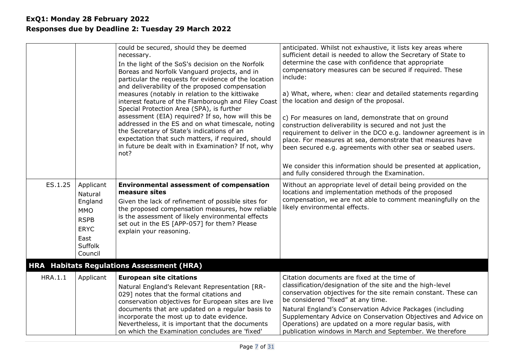<span id="page-6-0"></span>

|                |                                                                                                           | could be secured, should they be deemed<br>necessary.<br>In the light of the SoS's decision on the Norfolk<br>Boreas and Norfolk Vanguard projects, and in<br>particular the requests for evidence of the location<br>and deliverability of the proposed compensation<br>measures (notably in relation to the kittiwake<br>interest feature of the Flamborough and Filey Coast<br>Special Protection Area (SPA), is further<br>assessment (EIA) required? If so, how will this be<br>addressed in the ES and on what timescale, noting<br>the Secretary of State's indications of an<br>expectation that such matters, if required, should<br>in future be dealt with in Examination? If not, why<br>not? | anticipated. Whilst not exhaustive, it lists key areas where<br>sufficient detail is needed to allow the Secretary of State to<br>determine the case with confidence that appropriate<br>compensatory measures can be secured if required. These<br>include:<br>a) What, where, when: clear and detailed statements regarding<br>the location and design of the proposal.<br>c) For measures on land, demonstrate that on ground<br>construction deliverability is secured and not just the<br>requirement to deliver in the DCO e.g. landowner agreement is in<br>place. For measures at sea, demonstrate that measures have<br>been secured e.g. agreements with other sea or seabed users.<br>We consider this information should be presented at application,<br>and fully considered through the Examination. |
|----------------|-----------------------------------------------------------------------------------------------------------|-----------------------------------------------------------------------------------------------------------------------------------------------------------------------------------------------------------------------------------------------------------------------------------------------------------------------------------------------------------------------------------------------------------------------------------------------------------------------------------------------------------------------------------------------------------------------------------------------------------------------------------------------------------------------------------------------------------|--------------------------------------------------------------------------------------------------------------------------------------------------------------------------------------------------------------------------------------------------------------------------------------------------------------------------------------------------------------------------------------------------------------------------------------------------------------------------------------------------------------------------------------------------------------------------------------------------------------------------------------------------------------------------------------------------------------------------------------------------------------------------------------------------------------------|
| ES.1.25        | Applicant<br>Natural<br>England<br><b>MMO</b><br><b>RSPB</b><br><b>ERYC</b><br>East<br>Suffolk<br>Council | <b>Environmental assessment of compensation</b><br>measure sites<br>Given the lack of refinement of possible sites for<br>the proposed compensation measures, how reliable<br>is the assessment of likely environmental effects<br>set out in the ES [APP-057] for them? Please<br>explain your reasoning.                                                                                                                                                                                                                                                                                                                                                                                                | Without an appropriate level of detail being provided on the<br>locations and implementation methods of the proposed<br>compensation, we are not able to comment meaningfully on the<br>likely environmental effects.                                                                                                                                                                                                                                                                                                                                                                                                                                                                                                                                                                                              |
|                |                                                                                                           | <b>HRA</b> Habitats Regulations Assessment (HRA)                                                                                                                                                                                                                                                                                                                                                                                                                                                                                                                                                                                                                                                          |                                                                                                                                                                                                                                                                                                                                                                                                                                                                                                                                                                                                                                                                                                                                                                                                                    |
| <b>HRA.1.1</b> | Applicant                                                                                                 | <b>European site citations</b><br>Natural England's Relevant Representation [RR-<br>029] notes that the formal citations and<br>conservation objectives for European sites are live<br>documents that are updated on a regular basis to<br>incorporate the most up to date evidence.<br>Nevertheless, it is important that the documents<br>on which the Examination concludes are 'fixed'                                                                                                                                                                                                                                                                                                                | Citation documents are fixed at the time of<br>classification/designation of the site and the high-level<br>conservation objectives for the site remain constant. These can<br>be considered "fixed" at any time.<br>Natural England's Conservation Advice Packages (including<br>Supplementary Advice on Conservation Objectives and Advice on<br>Operations) are updated on a more regular basis, with<br>publication windows in March and September. We therefore                                                                                                                                                                                                                                                                                                                                               |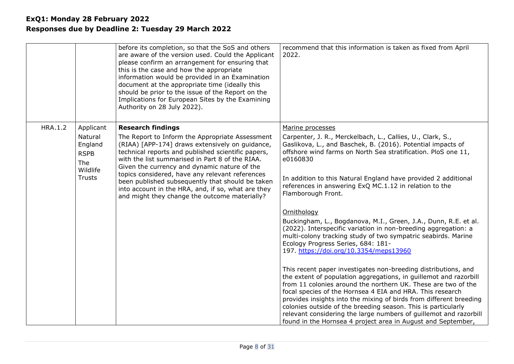|                |                                                  | before its completion, so that the SoS and others<br>are aware of the version used. Could the Applicant<br>please confirm an arrangement for ensuring that<br>this is the case and how the appropriate<br>information would be provided in an Examination<br>document at the appropriate time (ideally this<br>should be prior to the issue of the Report on the<br>Implications for European Sites by the Examining<br>Authority on 28 July 2022). | recommend that this information is taken as fixed from April<br>2022.                                                                                                                                                                                                              |
|----------------|--------------------------------------------------|-----------------------------------------------------------------------------------------------------------------------------------------------------------------------------------------------------------------------------------------------------------------------------------------------------------------------------------------------------------------------------------------------------------------------------------------------------|------------------------------------------------------------------------------------------------------------------------------------------------------------------------------------------------------------------------------------------------------------------------------------|
| <b>HRA.1.2</b> | Applicant<br>Natural                             | <b>Research findings</b><br>The Report to Inform the Appropriate Assessment                                                                                                                                                                                                                                                                                                                                                                         | Marine processes<br>Carpenter, J. R., Merckelbach, L., Callies, U., Clark, S.,                                                                                                                                                                                                     |
|                | England<br><b>RSPB</b><br><b>The</b><br>Wildlife | (RIAA) [APP-174] draws extensively on guidance,<br>technical reports and published scientific papers,<br>with the list summarised in Part 8 of the RIAA.<br>Given the currency and dynamic nature of the                                                                                                                                                                                                                                            | Gaslikova, L., and Baschek, B. (2016). Potential impacts of<br>offshore wind farms on North Sea stratification. PloS one 11,<br>e0160830                                                                                                                                           |
|                | <b>Trusts</b>                                    | topics considered, have any relevant references<br>been published subsequently that should be taken<br>into account in the HRA, and, if so, what are they<br>and might they change the outcome materially?                                                                                                                                                                                                                                          | In addition to this Natural England have provided 2 additional<br>references in answering ExQ MC.1.12 in relation to the<br>Flamborough Front.                                                                                                                                     |
|                |                                                  |                                                                                                                                                                                                                                                                                                                                                                                                                                                     | Ornithology                                                                                                                                                                                                                                                                        |
|                |                                                  |                                                                                                                                                                                                                                                                                                                                                                                                                                                     | Buckingham, L., Bogdanova, M.I., Green, J.A., Dunn, R.E. et al.<br>(2022). Interspecific variation in non-breeding aggregation: a<br>multi-colony tracking study of two sympatric seabirds. Marine<br>Ecology Progress Series, 684: 181-<br>197. https://doi.org/10.3354/meps13960 |
|                |                                                  |                                                                                                                                                                                                                                                                                                                                                                                                                                                     | This recent paper investigates non-breeding distributions, and<br>the extent of population aggregations, in guillemot and razorbill<br>from 11 colonies around the northern UK. These are two of the<br>focal species of the Hornsea 4 EIA and HRA. This research                  |
|                |                                                  |                                                                                                                                                                                                                                                                                                                                                                                                                                                     | provides insights into the mixing of birds from different breeding<br>colonies outside of the breeding season. This is particularly<br>relevant considering the large numbers of guillemot and razorbill<br>found in the Hornsea 4 project area in August and September,           |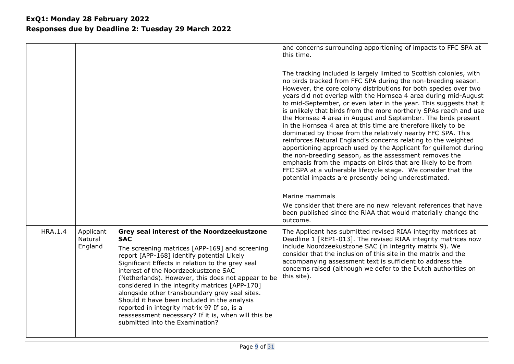|                |                                 |                                                                                                                                                                                                                                                                                                                                                                                                                                                                                                                                                                                                         | and concerns surrounding apportioning of impacts to FFC SPA at<br>this time.                                                                                                                                                                                                                                                                                                                                                                                                                                                                                                                                                                                                                                                                                                                                                                                                                                                                                                                                                                                                                                                                                              |
|----------------|---------------------------------|---------------------------------------------------------------------------------------------------------------------------------------------------------------------------------------------------------------------------------------------------------------------------------------------------------------------------------------------------------------------------------------------------------------------------------------------------------------------------------------------------------------------------------------------------------------------------------------------------------|---------------------------------------------------------------------------------------------------------------------------------------------------------------------------------------------------------------------------------------------------------------------------------------------------------------------------------------------------------------------------------------------------------------------------------------------------------------------------------------------------------------------------------------------------------------------------------------------------------------------------------------------------------------------------------------------------------------------------------------------------------------------------------------------------------------------------------------------------------------------------------------------------------------------------------------------------------------------------------------------------------------------------------------------------------------------------------------------------------------------------------------------------------------------------|
|                |                                 |                                                                                                                                                                                                                                                                                                                                                                                                                                                                                                                                                                                                         | The tracking included is largely limited to Scottish colonies, with<br>no birds tracked from FFC SPA during the non-breeding season.<br>However, the core colony distributions for both species over two<br>years did not overlap with the Hornsea 4 area during mid-August<br>to mid-September, or even later in the year. This suggests that it<br>is unlikely that birds from the more northerly SPAs reach and use<br>the Hornsea 4 area in August and September. The birds present<br>in the Hornsea 4 area at this time are therefore likely to be<br>dominated by those from the relatively nearby FFC SPA. This<br>reinforces Natural England's concerns relating to the weighted<br>apportioning approach used by the Applicant for guillemot during<br>the non-breeding season, as the assessment removes the<br>emphasis from the impacts on birds that are likely to be from<br>FFC SPA at a vulnerable lifecycle stage. We consider that the<br>potential impacts are presently being underestimated.<br>Marine mammals<br>We consider that there are no new relevant references that have<br>been published since the RiAA that would materially change the |
| <b>HRA.1.4</b> | Applicant<br>Natural<br>England | Grey seal interest of the Noordzeekustzone<br><b>SAC</b><br>The screening matrices [APP-169] and screening<br>report [APP-168] identify potential Likely<br>Significant Effects in relation to the grey seal<br>interest of the Noordzeekustzone SAC<br>(Netherlands). However, this does not appear to be<br>considered in the integrity matrices [APP-170]<br>alongside other transboundary grey seal sites.<br>Should it have been included in the analysis<br>reported in integrity matrix 9? If so, is a<br>reassessment necessary? If it is, when will this be<br>submitted into the Examination? | outcome.<br>The Applicant has submitted revised RIAA integrity matrices at<br>Deadline 1 [REP1-013]. The revised RIAA integrity matrices now<br>include Noordzeekustzone SAC (in integrity matrix 9). We<br>consider that the inclusion of this site in the matrix and the<br>accompanying assessment text is sufficient to address the<br>concerns raised (although we defer to the Dutch authorities on<br>this site).                                                                                                                                                                                                                                                                                                                                                                                                                                                                                                                                                                                                                                                                                                                                                  |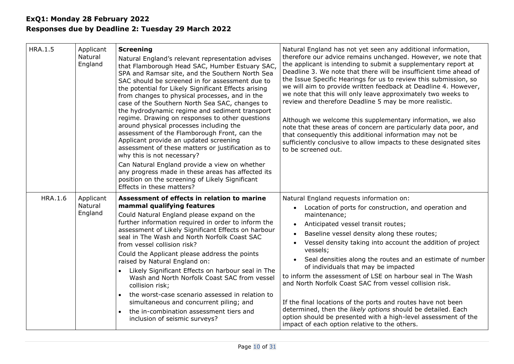| <b>HRA.1.5</b> | Applicant<br>Natural<br>England | <b>Screening</b><br>Natural England's relevant representation advises<br>that Flamborough Head SAC, Humber Estuary SAC,<br>SPA and Ramsar site, and the Southern North Sea<br>SAC should be screened in for assessment due to<br>the potential for Likely Significant Effects arising<br>from changes to physical processes, and in the<br>case of the Southern North Sea SAC, changes to<br>the hydrodynamic regime and sediment transport<br>regime. Drawing on responses to other questions<br>around physical processes including the<br>assessment of the Flamborough Front, can the<br>Applicant provide an updated screening<br>assessment of these matters or justification as to<br>why this is not necessary?<br>Can Natural England provide a view on whether<br>any progress made in these areas has affected its<br>position on the screening of Likely Significant<br>Effects in these matters? | Natural England has not yet seen any additional information,<br>therefore our advice remains unchanged. However, we note that<br>the applicant is intending to submit a supplementary report at<br>Deadline 3. We note that there will be insufficient time ahead of<br>the Issue Specific Hearings for us to review this submission, so<br>we will aim to provide written feedback at Deadline 4. However,<br>we note that this will only leave approximately two weeks to<br>review and therefore Deadline 5 may be more realistic.<br>Although we welcome this supplementary information, we also<br>note that these areas of concern are particularly data poor, and<br>that consequently this additional information may not be<br>sufficiently conclusive to allow impacts to these designated sites<br>to be screened out. |
|----------------|---------------------------------|---------------------------------------------------------------------------------------------------------------------------------------------------------------------------------------------------------------------------------------------------------------------------------------------------------------------------------------------------------------------------------------------------------------------------------------------------------------------------------------------------------------------------------------------------------------------------------------------------------------------------------------------------------------------------------------------------------------------------------------------------------------------------------------------------------------------------------------------------------------------------------------------------------------|-----------------------------------------------------------------------------------------------------------------------------------------------------------------------------------------------------------------------------------------------------------------------------------------------------------------------------------------------------------------------------------------------------------------------------------------------------------------------------------------------------------------------------------------------------------------------------------------------------------------------------------------------------------------------------------------------------------------------------------------------------------------------------------------------------------------------------------|
| <b>HRA.1.6</b> | Applicant<br>Natural<br>England | Assessment of effects in relation to marine<br>mammal qualifying features<br>Could Natural England please expand on the<br>further information required in order to inform the<br>assessment of Likely Significant Effects on harbour<br>seal in The Wash and North Norfolk Coast SAC<br>from vessel collision risk?<br>Could the Applicant please address the points<br>raised by Natural England on:<br>Likely Significant Effects on harbour seal in The<br>Wash and North Norfolk Coast SAC from vessel<br>collision risk;<br>the worst-case scenario assessed in relation to<br>simultaneous and concurrent piling; and<br>the in-combination assessment tiers and<br>inclusion of seismic surveys?                                                                                                                                                                                                      | Natural England requests information on:<br>Location of ports for construction, and operation and<br>maintenance;<br>Anticipated vessel transit routes;<br>Baseline vessel density along these routes;<br>Vessel density taking into account the addition of project<br>vessels;<br>Seal densities along the routes and an estimate of number<br>of individuals that may be impacted<br>to inform the assessment of LSE on harbour seal in The Wash<br>and North Norfolk Coast SAC from vessel collision risk.<br>If the final locations of the ports and routes have not been<br>determined, then the likely options should be detailed. Each<br>option should be presented with a high-level assessment of the<br>impact of each option relative to the others.                                                                 |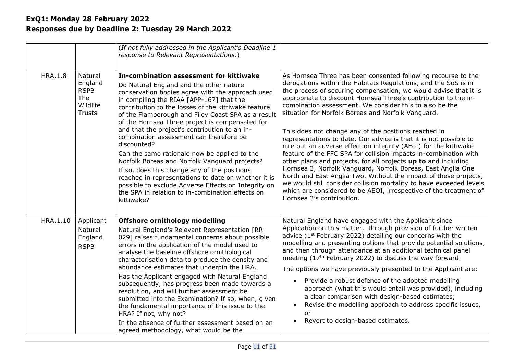|                |                                                                              | (If not fully addressed in the Applicant's Deadline 1<br>response to Relevant Representations.)                                                                                                                                                                                                                                                                                                                                                                                                                                                                                                                                                                                                                                                                                                |                                                                                                                                                                                                                                                                                                                                                                                                                                                                                                                                                                                                                                                                                                                                                                                                                                                                                                                                                                                                                                             |
|----------------|------------------------------------------------------------------------------|------------------------------------------------------------------------------------------------------------------------------------------------------------------------------------------------------------------------------------------------------------------------------------------------------------------------------------------------------------------------------------------------------------------------------------------------------------------------------------------------------------------------------------------------------------------------------------------------------------------------------------------------------------------------------------------------------------------------------------------------------------------------------------------------|---------------------------------------------------------------------------------------------------------------------------------------------------------------------------------------------------------------------------------------------------------------------------------------------------------------------------------------------------------------------------------------------------------------------------------------------------------------------------------------------------------------------------------------------------------------------------------------------------------------------------------------------------------------------------------------------------------------------------------------------------------------------------------------------------------------------------------------------------------------------------------------------------------------------------------------------------------------------------------------------------------------------------------------------|
| <b>HRA.1.8</b> | Natural<br>England<br><b>RSPB</b><br><b>The</b><br>Wildlife<br><b>Trusts</b> | In-combination assessment for kittiwake<br>Do Natural England and the other nature<br>conservation bodies agree with the approach used<br>in compiling the RIAA [APP-167] that the<br>contribution to the losses of the kittiwake feature<br>of the Flamborough and Filey Coast SPA as a result<br>of the Hornsea Three project is compensated for<br>and that the project's contribution to an in-<br>combination assessment can therefore be<br>discounted?<br>Can the same rationale now be applied to the<br>Norfolk Boreas and Norfolk Vanguard projects?<br>If so, does this change any of the positions<br>reached in representations to date on whether it is<br>possible to exclude Adverse Effects on Integrity on<br>the SPA in relation to in-combination effects on<br>kittiwake? | As Hornsea Three has been consented following recourse to the<br>derogations within the Habitats Regulations, and the SoS is in<br>the process of securing compensation, we would advise that it is<br>appropriate to discount Hornsea Three's contribution to the in-<br>combination assessment. We consider this to also be the<br>situation for Norfolk Boreas and Norfolk Vanguard.<br>This does not change any of the positions reached in<br>representations to date. Our advice is that it is not possible to<br>rule out an adverse effect on integrity (AEoI) for the kittiwake<br>feature of the FFC SPA for collision impacts in-combination with<br>other plans and projects, for all projects up to and including<br>Hornsea 3, Norfolk Vanguard, Norfolk Boreas, East Anglia One<br>North and East Anglia Two. Without the impact of these projects,<br>we would still consider collision mortality to have exceeded levels<br>which are considered to be AEOI, irrespective of the treatment of<br>Hornsea 3's contribution. |
| HRA.1.10       | Applicant<br>Natural<br>England<br><b>RSPB</b>                               | <b>Offshore ornithology modelling</b><br>Natural England's Relevant Representation [RR-<br>029] raises fundamental concerns about possible<br>errors in the application of the model used to<br>analyse the baseline offshore ornithological<br>characterisation data to produce the density and<br>abundance estimates that underpin the HRA.<br>Has the Applicant engaged with Natural England<br>subsequently, has progress been made towards a<br>resolution, and will further assessment be<br>submitted into the Examination? If so, when, given<br>the fundamental importance of this issue to the<br>HRA? If not, why not?<br>In the absence of further assessment based on an<br>agreed methodology, what would be the                                                                | Natural England have engaged with the Applicant since<br>Application on this matter, through provision of further written<br>advice (1 <sup>st</sup> February 2022) detailing our concerns with the<br>modelling and presenting options that provide potential solutions,<br>and then through attendance at an additional technical panel<br>meeting (17 <sup>th</sup> February 2022) to discuss the way forward.<br>The options we have previously presented to the Applicant are:<br>Provide a robust defence of the adopted modelling<br>$\bullet$<br>approach (what this would entail was provided), including<br>a clear comparison with design-based estimates;<br>Revise the modelling approach to address specific issues,<br>$\bullet$<br>or<br>Revert to design-based estimates.<br>$\bullet$                                                                                                                                                                                                                                     |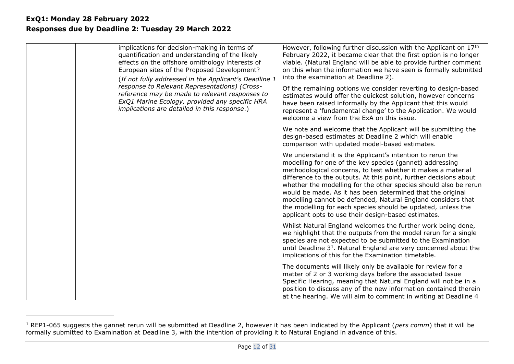| implications for decision-making in terms of<br>quantification and understanding of the likely<br>effects on the offshore ornithology interests of<br>European sites of the Proposed Development?<br>(If not fully addressed in the Applicant's Deadline 1 | However, following further discussion with the Applicant on 17th<br>February 2022, it became clear that the first option is no longer<br>viable. (Natural England will be able to provide further comment<br>on this when the information we have seen is formally submitted<br>into the examination at Deadline 2).                                                                                                                                                                                                                                                                 |
|------------------------------------------------------------------------------------------------------------------------------------------------------------------------------------------------------------------------------------------------------------|--------------------------------------------------------------------------------------------------------------------------------------------------------------------------------------------------------------------------------------------------------------------------------------------------------------------------------------------------------------------------------------------------------------------------------------------------------------------------------------------------------------------------------------------------------------------------------------|
| response to Relevant Representations) (Cross-<br>reference may be made to relevant responses to<br>ExQ1 Marine Ecology, provided any specific HRA<br>implications are detailed in this response.)                                                          | Of the remaining options we consider reverting to design-based<br>estimates would offer the quickest solution, however concerns<br>have been raised informally by the Applicant that this would<br>represent a 'fundamental change' to the Application. We would<br>welcome a view from the ExA on this issue.                                                                                                                                                                                                                                                                       |
|                                                                                                                                                                                                                                                            | We note and welcome that the Applicant will be submitting the<br>design-based estimates at Deadline 2 which will enable<br>comparison with updated model-based estimates.                                                                                                                                                                                                                                                                                                                                                                                                            |
|                                                                                                                                                                                                                                                            | We understand it is the Applicant's intention to rerun the<br>modelling for one of the key species (gannet) addressing<br>methodological concerns, to test whether it makes a material<br>difference to the outputs. At this point, further decisions about<br>whether the modelling for the other species should also be rerun<br>would be made. As it has been determined that the original<br>modelling cannot be defended, Natural England considers that<br>the modelling for each species should be updated, unless the<br>applicant opts to use their design-based estimates. |
|                                                                                                                                                                                                                                                            | Whilst Natural England welcomes the further work being done,<br>we highlight that the outputs from the model rerun for a single<br>species are not expected to be submitted to the Examination<br>until Deadline 3 <sup>1</sup> . Natural England are very concerned about the<br>implications of this for the Examination timetable.                                                                                                                                                                                                                                                |
|                                                                                                                                                                                                                                                            | The documents will likely only be available for review for a<br>matter of 2 or 3 working days before the associated Issue<br>Specific Hearing, meaning that Natural England will not be in a<br>position to discuss any of the new information contained therein<br>at the hearing. We will aim to comment in writing at Deadline 4                                                                                                                                                                                                                                                  |

<sup>&</sup>lt;sup>1</sup> REP1-065 suggests the gannet rerun will be submitted at Deadline 2, however it has been indicated by the Applicant (*pers comm*) that it will be formally submitted to Examination at Deadline 3, with the intention of providing it to Natural England in advance of this.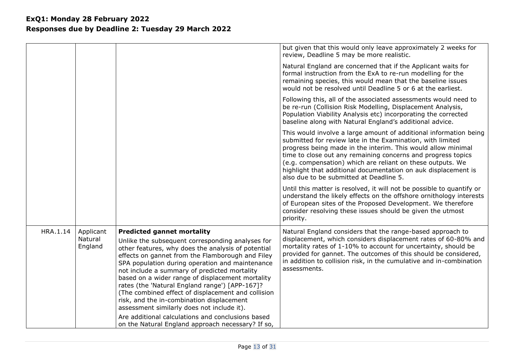|          |                                 |                                                                                                                                                                                                                                                                                                                                                                                                                                                                                                                                                           | but given that this would only leave approximately 2 weeks for<br>review, Deadline 5 may be more realistic.                                                                                                                                                                                                                                                                                                                                |
|----------|---------------------------------|-----------------------------------------------------------------------------------------------------------------------------------------------------------------------------------------------------------------------------------------------------------------------------------------------------------------------------------------------------------------------------------------------------------------------------------------------------------------------------------------------------------------------------------------------------------|--------------------------------------------------------------------------------------------------------------------------------------------------------------------------------------------------------------------------------------------------------------------------------------------------------------------------------------------------------------------------------------------------------------------------------------------|
|          |                                 |                                                                                                                                                                                                                                                                                                                                                                                                                                                                                                                                                           | Natural England are concerned that if the Applicant waits for<br>formal instruction from the ExA to re-run modelling for the<br>remaining species, this would mean that the baseline issues<br>would not be resolved until Deadline 5 or 6 at the earliest.                                                                                                                                                                                |
|          |                                 |                                                                                                                                                                                                                                                                                                                                                                                                                                                                                                                                                           | Following this, all of the associated assessments would need to<br>be re-run (Collision Risk Modelling, Displacement Analysis,<br>Population Viability Analysis etc) incorporating the corrected<br>baseline along with Natural England's additional advice.                                                                                                                                                                               |
|          |                                 |                                                                                                                                                                                                                                                                                                                                                                                                                                                                                                                                                           | This would involve a large amount of additional information being<br>submitted for review late in the Examination, with limited<br>progress being made in the interim. This would allow minimal<br>time to close out any remaining concerns and progress topics<br>(e.g. compensation) which are reliant on these outputs. We<br>highlight that additional documentation on auk displacement is<br>also due to be submitted at Deadline 5. |
|          |                                 |                                                                                                                                                                                                                                                                                                                                                                                                                                                                                                                                                           | Until this matter is resolved, it will not be possible to quantify or<br>understand the likely effects on the offshore ornithology interests<br>of European sites of the Proposed Development. We therefore<br>consider resolving these issues should be given the utmost<br>priority.                                                                                                                                                     |
| HRA.1.14 | Applicant<br>Natural<br>England | <b>Predicted gannet mortality</b><br>Unlike the subsequent corresponding analyses for<br>other features, why does the analysis of potential<br>effects on gannet from the Flamborough and Filey<br>SPA population during operation and maintenance<br>not include a summary of predicted mortality<br>based on a wider range of displacement mortality<br>rates (the 'Natural England range') [APP-167]?<br>(The combined effect of displacement and collision<br>risk, and the in-combination displacement<br>assessment similarly does not include it). | Natural England considers that the range-based approach to<br>displacement, which considers displacement rates of 60-80% and<br>mortality rates of 1-10% to account for uncertainty, should be<br>provided for gannet. The outcomes of this should be considered,<br>in addition to collision risk, in the cumulative and in-combination<br>assessments.                                                                                   |
|          |                                 | Are additional calculations and conclusions based<br>on the Natural England approach necessary? If so,                                                                                                                                                                                                                                                                                                                                                                                                                                                    |                                                                                                                                                                                                                                                                                                                                                                                                                                            |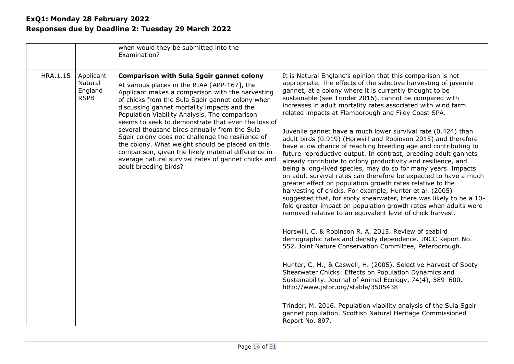|          |                                                | when would they be submitted into the<br>Examination?                                                                                                                                                                                                                                                                                                                                                                                                                                                                                                                                                                                                          |                                                                                                                                                                                                                                                                                                                                                                                                                                                                                                                                                                                                                                                                                                                                                                                                                                                                                                                                                                                                                                                                                                                                                                                                                                                                                                                                                                                                                                                                                                                                                                                                                                                                                                                                                                |
|----------|------------------------------------------------|----------------------------------------------------------------------------------------------------------------------------------------------------------------------------------------------------------------------------------------------------------------------------------------------------------------------------------------------------------------------------------------------------------------------------------------------------------------------------------------------------------------------------------------------------------------------------------------------------------------------------------------------------------------|----------------------------------------------------------------------------------------------------------------------------------------------------------------------------------------------------------------------------------------------------------------------------------------------------------------------------------------------------------------------------------------------------------------------------------------------------------------------------------------------------------------------------------------------------------------------------------------------------------------------------------------------------------------------------------------------------------------------------------------------------------------------------------------------------------------------------------------------------------------------------------------------------------------------------------------------------------------------------------------------------------------------------------------------------------------------------------------------------------------------------------------------------------------------------------------------------------------------------------------------------------------------------------------------------------------------------------------------------------------------------------------------------------------------------------------------------------------------------------------------------------------------------------------------------------------------------------------------------------------------------------------------------------------------------------------------------------------------------------------------------------------|
| HRA.1.15 | Applicant<br>Natural<br>England<br><b>RSPB</b> | <b>Comparison with Sula Sgeir gannet colony</b><br>At various places in the RIAA [APP-167], the<br>Applicant makes a comparison with the harvesting<br>of chicks from the Sula Sgeir gannet colony when<br>discussing gannet mortality impacts and the<br>Population Viability Analysis. The comparison<br>seems to seek to demonstrate that even the loss of<br>several thousand birds annually from the Sula<br>Sgeir colony does not challenge the resilience of<br>the colony. What weight should be placed on this<br>comparison, given the likely material difference in<br>average natural survival rates of gannet chicks and<br>adult breeding birds? | It is Natural England's opinion that this comparison is not<br>appropriate. The effects of the selective harvesting of juvenile<br>gannet, at a colony where it is currently thought to be<br>sustainable (see Trinder 2016), cannot be compared with<br>increases in adult mortality rates associated with wind farm<br>related impacts at Flamborough and Filey Coast SPA.<br>Juvenile gannet have a much lower survival rate (0.424) than<br>adult birds (0.919) (Horwsill and Robinson 2015) and therefore<br>have a low chance of reaching breeding age and contributing to<br>future reproductive output. In contrast, breeding adult gannets<br>already contribute to colony productivity and resilience, and<br>being a long-lived species, may do so for many years. Impacts<br>on adult survival rates can therefore be expected to have a much<br>greater effect on population growth rates relative to the<br>harvesting of chicks. For example, Hunter et al. (2005)<br>suggested that, for sooty shearwater, there was likely to be a 10-<br>fold greater impact on population growth rates when adults were<br>removed relative to an equivalent level of chick harvest.<br>Horswill, C. & Robinson R. A. 2015. Review of seabird<br>demographic rates and density dependence. JNCC Report No.<br>552. Joint Nature Conservation Committee, Peterborough.<br>Hunter, C. M., & Caswell, H. (2005). Selective Harvest of Sooty<br>Shearwater Chicks: Effects on Population Dynamics and<br>Sustainability. Journal of Animal Ecology, 74(4), 589-600.<br>http://www.jstor.org/stable/3505438<br>Trinder, M. 2016. Population viability analysis of the Sula Sgeir<br>gannet population. Scottish Natural Heritage Commissioned<br>Report No. 897. |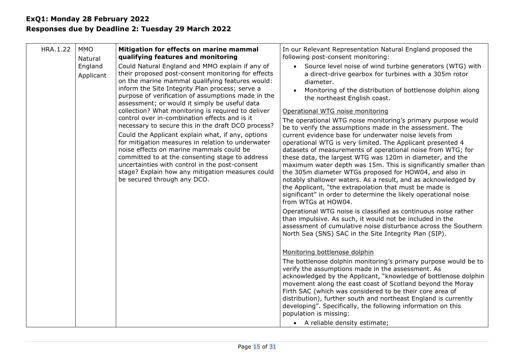| HRA.1.22 | <b>MMO</b><br>Natural<br>England<br>Applicant                                                                                                                                                                                                                                                                                              | Mitigation for effects on marine mammal<br>qualifying features and monitoring<br>Could Natural England and MMO explain if any of<br>their proposed post-consent monitoring for effects<br>on the marine mammal qualifying features would:<br>inform the Site Integrity Plan process; serve a<br>purpose of verification of assumptions made in the<br>assessment; or would it simply be useful data<br>collection? What monitoring is required to deliver<br>control over in-combination effects and is it<br>necessary to secure this in the draft DCO process?                                                                                                                                                                                                         | In our Relevant Representation Natural England proposed the<br>following post-consent monitoring:<br>• Source level noise of wind turbine generators (WTG) with<br>a direct-drive gearbox for turbines with a 305m rotor<br>diameter.<br>Monitoring of the distribution of bottlenose dolphin along<br>the northeast English coast.<br>Operational WTG noise monitoring<br>The operational WTG noise monitoring's primary purpose would<br>be to verify the assumptions made in the assessment. The |
|----------|--------------------------------------------------------------------------------------------------------------------------------------------------------------------------------------------------------------------------------------------------------------------------------------------------------------------------------------------|--------------------------------------------------------------------------------------------------------------------------------------------------------------------------------------------------------------------------------------------------------------------------------------------------------------------------------------------------------------------------------------------------------------------------------------------------------------------------------------------------------------------------------------------------------------------------------------------------------------------------------------------------------------------------------------------------------------------------------------------------------------------------|-----------------------------------------------------------------------------------------------------------------------------------------------------------------------------------------------------------------------------------------------------------------------------------------------------------------------------------------------------------------------------------------------------------------------------------------------------------------------------------------------------|
|          | Could the Applicant explain what, if any, options<br>for mitigation measures in relation to underwater<br>noise effects on marine mammals could be<br>committed to at the consenting stage to address<br>uncertainties with control in the post-consent<br>stage? Explain how any mitigation measures could<br>be secured through any DCO. | current evidence base for underwater noise levels from<br>operational WTG is very limited. The Applicant presented 4<br>datasets of measurements of operational noise from WTG; for<br>these data, the largest WTG was 120m in diameter, and the<br>maximum water depth was 15m. This is significantly smaller than<br>the 305m diameter WTGs proposed for HOW04, and also in<br>notably shallower waters. As a result, and as acknowledged by<br>the Applicant, "the extrapolation that must be made is<br>significant" in order to determine the likely operational noise<br>from WTGs at HOW04.                                                                                                                                                                       |                                                                                                                                                                                                                                                                                                                                                                                                                                                                                                     |
|          |                                                                                                                                                                                                                                                                                                                                            | Operational WTG noise is classified as continuous noise rather<br>than impulsive. As such, it would not be included in the<br>assessment of cumulative noise disturbance across the Southern<br>North Sea (SNS) SAC in the Site Integrity Plan (SIP).<br>Monitoring bottlenose dolphin<br>The bottlenose dolphin monitoring's primary purpose would be to<br>verify the assumptions made in the assessment. As<br>acknowledged by the Applicant, "knowledge of bottlenose dolphin<br>movement along the east coast of Scotland beyond the Moray<br>Firth SAC (which was considered to be their core area of<br>distribution), further south and northeast England is currently<br>developing". Specifically, the following information on this<br>population is missing: |                                                                                                                                                                                                                                                                                                                                                                                                                                                                                                     |
|          |                                                                                                                                                                                                                                                                                                                                            |                                                                                                                                                                                                                                                                                                                                                                                                                                                                                                                                                                                                                                                                                                                                                                          | • A reliable density estimate;                                                                                                                                                                                                                                                                                                                                                                                                                                                                      |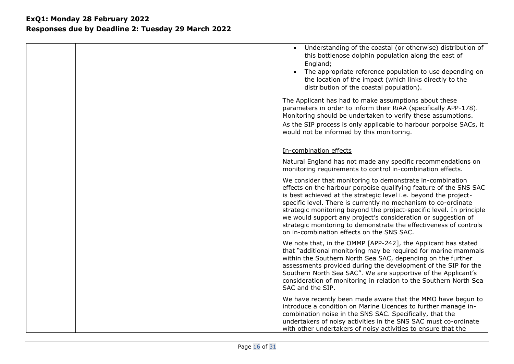|  | Understanding of the coastal (or otherwise) distribution of<br>this bottlenose dolphin population along the east of<br>England;<br>The appropriate reference population to use depending on<br>the location of the impact (which links directly to the<br>distribution of the coastal population).                                                                                                                                                                                                                              |
|--|---------------------------------------------------------------------------------------------------------------------------------------------------------------------------------------------------------------------------------------------------------------------------------------------------------------------------------------------------------------------------------------------------------------------------------------------------------------------------------------------------------------------------------|
|  | The Applicant has had to make assumptions about these<br>parameters in order to inform their RiAA (specifically APP-178).<br>Monitoring should be undertaken to verify these assumptions.<br>As the SIP process is only applicable to harbour porpoise SACs, it<br>would not be informed by this monitoring.                                                                                                                                                                                                                    |
|  | In-combination effects                                                                                                                                                                                                                                                                                                                                                                                                                                                                                                          |
|  | Natural England has not made any specific recommendations on<br>monitoring requirements to control in-combination effects.                                                                                                                                                                                                                                                                                                                                                                                                      |
|  | We consider that monitoring to demonstrate in-combination<br>effects on the harbour porpoise qualifying feature of the SNS SAC<br>is best achieved at the strategic level i.e. beyond the project-<br>specific level. There is currently no mechanism to co-ordinate<br>strategic monitoring beyond the project-specific level. In principle<br>we would support any project's consideration or suggestion of<br>strategic monitoring to demonstrate the effectiveness of controls<br>on in-combination effects on the SNS SAC. |
|  | We note that, in the OMMP [APP-242], the Applicant has stated<br>that "additional monitoring may be required for marine mammals<br>within the Southern North Sea SAC, depending on the further<br>assessments provided during the development of the SIP for the<br>Southern North Sea SAC". We are supportive of the Applicant's<br>consideration of monitoring in relation to the Southern North Sea<br>SAC and the SIP.                                                                                                      |
|  | We have recently been made aware that the MMO have begun to<br>introduce a condition on Marine Licences to further manage in-<br>combination noise in the SNS SAC. Specifically, that the<br>undertakers of noisy activities in the SNS SAC must co-ordinate<br>with other undertakers of noisy activities to ensure that the                                                                                                                                                                                                   |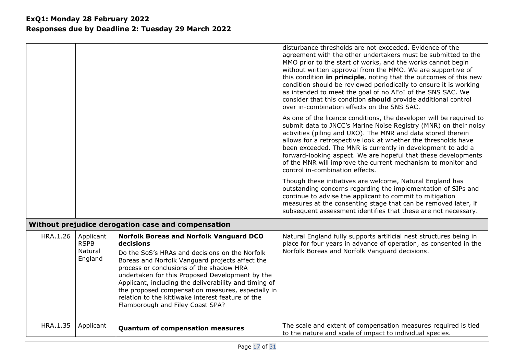|          |                                                |                                                                                                                                                                                                                                                                                                                                                                                                                                                                        | disturbance thresholds are not exceeded. Evidence of the<br>agreement with the other undertakers must be submitted to the<br>MMO prior to the start of works, and the works cannot begin<br>without written approval from the MMO. We are supportive of<br>this condition in principle, noting that the outcomes of this new<br>condition should be reviewed periodically to ensure it is working<br>as intended to meet the goal of no AEoI of the SNS SAC. We<br>consider that this condition should provide additional control<br>over in-combination effects on the SNS SAC. |
|----------|------------------------------------------------|------------------------------------------------------------------------------------------------------------------------------------------------------------------------------------------------------------------------------------------------------------------------------------------------------------------------------------------------------------------------------------------------------------------------------------------------------------------------|----------------------------------------------------------------------------------------------------------------------------------------------------------------------------------------------------------------------------------------------------------------------------------------------------------------------------------------------------------------------------------------------------------------------------------------------------------------------------------------------------------------------------------------------------------------------------------|
|          |                                                |                                                                                                                                                                                                                                                                                                                                                                                                                                                                        | As one of the licence conditions, the developer will be required to<br>submit data to JNCC's Marine Noise Registry (MNR) on their noisy<br>activities (piling and UXO). The MNR and data stored therein<br>allows for a retrospective look at whether the thresholds have<br>been exceeded. The MNR is currently in development to add a<br>forward-looking aspect. We are hopeful that these developments<br>of the MNR will improve the current mechanism to monitor and<br>control in-combination effects.                                                                    |
|          |                                                |                                                                                                                                                                                                                                                                                                                                                                                                                                                                        | Though these initiatives are welcome, Natural England has<br>outstanding concerns regarding the implementation of SIPs and<br>continue to advise the applicant to commit to mitigation<br>measures at the consenting stage that can be removed later, if<br>subsequent assessment identifies that these are not necessary.                                                                                                                                                                                                                                                       |
|          |                                                | Without prejudice derogation case and compensation                                                                                                                                                                                                                                                                                                                                                                                                                     |                                                                                                                                                                                                                                                                                                                                                                                                                                                                                                                                                                                  |
| HRA.1.26 | Applicant<br><b>RSPB</b><br>Natural<br>England | <b>Norfolk Boreas and Norfolk Vanguard DCO</b><br>decisions<br>Do the SoS's HRAs and decisions on the Norfolk<br>Boreas and Norfolk Vanguard projects affect the<br>process or conclusions of the shadow HRA<br>undertaken for this Proposed Development by the<br>Applicant, including the deliverability and timing of<br>the proposed compensation measures, especially in<br>relation to the kittiwake interest feature of the<br>Flamborough and Filey Coast SPA? | Natural England fully supports artificial nest structures being in<br>place for four years in advance of operation, as consented in the<br>Norfolk Boreas and Norfolk Vanguard decisions.                                                                                                                                                                                                                                                                                                                                                                                        |
| HRA.1.35 | Applicant                                      | <b>Quantum of compensation measures</b>                                                                                                                                                                                                                                                                                                                                                                                                                                | The scale and extent of compensation measures required is tied<br>to the nature and scale of impact to individual species.                                                                                                                                                                                                                                                                                                                                                                                                                                                       |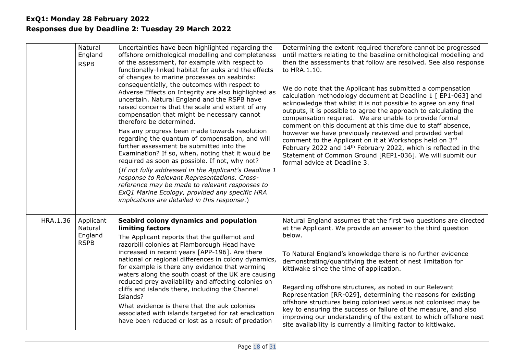|          | Natural<br>England<br><b>RSPB</b>              | Uncertainties have been highlighted regarding the<br>offshore ornithological modelling and completeness<br>of the assessment, for example with respect to<br>functionally-linked habitat for auks and the effects<br>of changes to marine processes on seabirds:<br>consequentially, the outcomes with respect to<br>Adverse Effects on Integrity are also highlighted as<br>uncertain. Natural England and the RSPB have<br>raised concerns that the scale and extent of any<br>compensation that might be necessary cannot<br>therefore be determined.<br>Has any progress been made towards resolution<br>regarding the quantum of compensation, and will<br>further assessment be submitted into the<br>Examination? If so, when, noting that it would be<br>required as soon as possible. If not, why not?<br>(If not fully addressed in the Applicant's Deadline 1<br>response to Relevant Representations. Cross-<br>reference may be made to relevant responses to<br>ExQ1 Marine Ecology, provided any specific HRA<br>implications are detailed in this response.) | Determining the extent required therefore cannot be progressed<br>until matters relating to the baseline ornithological modelling and<br>then the assessments that follow are resolved. See also response<br>to HRA.1.10.<br>We do note that the Applicant has submitted a compensation<br>calculation methodology document at Deadline 1 [ EP1-063] and<br>acknowledge that whilst it is not possible to agree on any final<br>outputs, it is possible to agree the approach to calculating the<br>compensation required. We are unable to provide formal<br>comment on this document at this time due to staff absence,<br>however we have previously reviewed and provided verbal<br>comment to the Applicant on it at Workshops held on 3rd<br>February 2022 and 14 <sup>th</sup> February 2022, which is reflected in the<br>Statement of Common Ground [REP1-036]. We will submit our<br>formal advice at Deadline 3. |
|----------|------------------------------------------------|------------------------------------------------------------------------------------------------------------------------------------------------------------------------------------------------------------------------------------------------------------------------------------------------------------------------------------------------------------------------------------------------------------------------------------------------------------------------------------------------------------------------------------------------------------------------------------------------------------------------------------------------------------------------------------------------------------------------------------------------------------------------------------------------------------------------------------------------------------------------------------------------------------------------------------------------------------------------------------------------------------------------------------------------------------------------------|-----------------------------------------------------------------------------------------------------------------------------------------------------------------------------------------------------------------------------------------------------------------------------------------------------------------------------------------------------------------------------------------------------------------------------------------------------------------------------------------------------------------------------------------------------------------------------------------------------------------------------------------------------------------------------------------------------------------------------------------------------------------------------------------------------------------------------------------------------------------------------------------------------------------------------|
| HRA.1.36 | Applicant<br>Natural<br>England<br><b>RSPB</b> | Seabird colony dynamics and population<br>limiting factors<br>The Applicant reports that the guillemot and<br>razorbill colonies at Flamborough Head have<br>increased in recent years [APP-196]. Are there<br>national or regional differences in colony dynamics,<br>for example is there any evidence that warming<br>waters along the south coast of the UK are causing<br>reduced prey availability and affecting colonies on<br>cliffs and islands there, including the Channel<br>Islands?<br>What evidence is there that the auk colonies<br>associated with islands targeted for rat eradication<br>have been reduced or lost as a result of predation                                                                                                                                                                                                                                                                                                                                                                                                              | Natural England assumes that the first two questions are directed<br>at the Applicant. We provide an answer to the third question<br>below.<br>To Natural England's knowledge there is no further evidence<br>demonstrating/quantifying the extent of nest limitation for<br>kittiwake since the time of application.<br>Regarding offshore structures, as noted in our Relevant<br>Representation [RR-029], determining the reasons for existing<br>offshore structures being colonised versus not colonised may be<br>key to ensuring the success or failure of the measure, and also<br>improving our understanding of the extent to which offshore nest<br>site availability is currently a limiting factor to kittiwake.                                                                                                                                                                                               |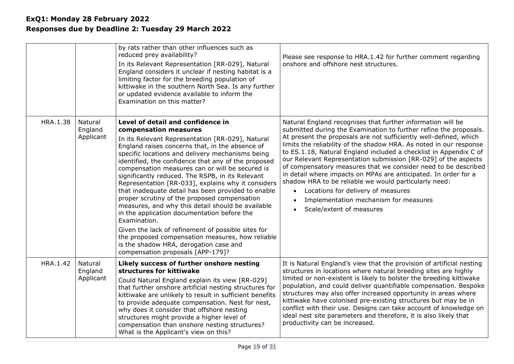|          |                                 | by rats rather than other influences such as<br>reduced prey availability?<br>In its Relevant Representation [RR-029], Natural<br>England considers it unclear if nesting habitat is a<br>limiting factor for the breeding population of<br>kittiwake in the southern North Sea. Is any further<br>or updated evidence available to inform the<br>Examination on this matter?                                                                                                                                                                                                                                                                                                                                                                                                                                                                                | Please see response to HRA.1.42 for further comment regarding<br>onshore and offshore nest structures.                                                                                                                                                                                                                                                                                                                                                                                                                                                                                                                                                                                                                                                |
|----------|---------------------------------|--------------------------------------------------------------------------------------------------------------------------------------------------------------------------------------------------------------------------------------------------------------------------------------------------------------------------------------------------------------------------------------------------------------------------------------------------------------------------------------------------------------------------------------------------------------------------------------------------------------------------------------------------------------------------------------------------------------------------------------------------------------------------------------------------------------------------------------------------------------|-------------------------------------------------------------------------------------------------------------------------------------------------------------------------------------------------------------------------------------------------------------------------------------------------------------------------------------------------------------------------------------------------------------------------------------------------------------------------------------------------------------------------------------------------------------------------------------------------------------------------------------------------------------------------------------------------------------------------------------------------------|
| HRA.1.38 | Natural<br>England<br>Applicant | Level of detail and confidence in<br>compensation measures<br>In its Relevant Representation [RR-029], Natural<br>England raises concerns that, in the absence of<br>specific locations and delivery mechanisms being<br>identified, the confidence that any of the proposed<br>compensation measures can or will be secured is<br>significantly reduced. The RSPB, in its Relevant<br>Representation [RR-033], explains why it considers<br>that inadequate detail has been provided to enable<br>proper scrutiny of the proposed compensation<br>measures, and why this detail should be available<br>in the application documentation before the<br>Examination.<br>Given the lack of refinement of possible sites for<br>the proposed compensation measures, how reliable<br>is the shadow HRA, derogation case and<br>compensation proposals [APP-179]? | Natural England recognises that further information will be<br>submitted during the Examination to further refine the proposals.<br>At present the proposals are not sufficiently well-defined, which<br>limits the reliability of the shadow HRA. As noted in our response<br>to ES.1.18, Natural England included a checklist in Appendix C of<br>our Relevant Representation submission [RR-029] of the aspects<br>of compensatory measures that we consider need to be described<br>in detail where impacts on MPAs are anticipated. In order for a<br>shadow HRA to be reliable we would particularly need:<br>Locations for delivery of measures<br>$\bullet$<br>Implementation mechanism for measures<br>Scale/extent of measures<br>$\bullet$ |
| HRA.1.42 | Natural<br>England<br>Applicant | Likely success of further onshore nesting<br>structures for kittiwake<br>Could Natural England explain its view [RR-029]<br>that further onshore artificial nesting structures for<br>kittiwake are unlikely to result in sufficient benefits<br>to provide adequate compensation. Nest for nest,<br>why does it consider that offshore nesting<br>structures might provide a higher level of<br>compensation than onshore nesting structures?<br>What is the Applicant's view on this?                                                                                                                                                                                                                                                                                                                                                                      | It is Natural England's view that the provision of artificial nesting<br>structures in locations where natural breeding sites are highly<br>limited or non-existent is likely to bolster the breeding kittiwake<br>population, and could deliver quantifiable compensation. Bespoke<br>structures may also offer increased opportunity in areas where<br>kittiwake have colonised pre-existing structures but may be in<br>conflict with their use. Designs can take account of knowledge on<br>ideal nest site parameters and therefore, it is also likely that<br>productivity can be increased.                                                                                                                                                    |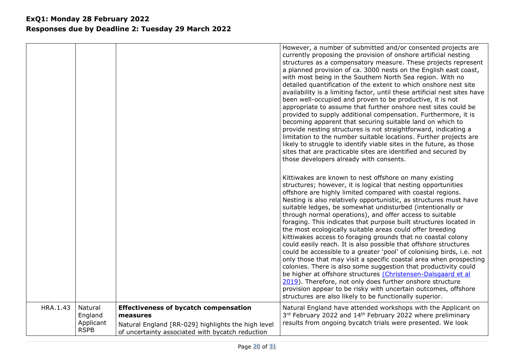|          |                                                |                                                                                                                                                                    | However, a number of submitted and/or consented projects are<br>currently proposing the provision of onshore artificial nesting<br>structures as a compensatory measure. These projects represent<br>a planned provision of ca. 3000 nests on the English east coast,<br>with most being in the Southern North Sea region. With no<br>detailed quantification of the extent to which onshore nest site<br>availability is a limiting factor, until these artificial nest sites have<br>been well-occupied and proven to be productive, it is not<br>appropriate to assume that further onshore nest sites could be<br>provided to supply additional compensation. Furthermore, it is<br>becoming apparent that securing suitable land on which to<br>provide nesting structures is not straightforward, indicating a<br>limitation to the number suitable locations. Further projects are<br>likely to struggle to identify viable sites in the future, as those<br>sites that are practicable sites are identified and secured by<br>those developers already with consents.                                                           |
|----------|------------------------------------------------|--------------------------------------------------------------------------------------------------------------------------------------------------------------------|-----------------------------------------------------------------------------------------------------------------------------------------------------------------------------------------------------------------------------------------------------------------------------------------------------------------------------------------------------------------------------------------------------------------------------------------------------------------------------------------------------------------------------------------------------------------------------------------------------------------------------------------------------------------------------------------------------------------------------------------------------------------------------------------------------------------------------------------------------------------------------------------------------------------------------------------------------------------------------------------------------------------------------------------------------------------------------------------------------------------------------------------|
|          |                                                |                                                                                                                                                                    | Kittiwakes are known to nest offshore on many existing<br>structures; however, it is logical that nesting opportunities<br>offshore are highly limited compared with coastal regions.<br>Nesting is also relatively opportunistic, as structures must have<br>suitable ledges, be somewhat undisturbed (intentionally or<br>through normal operations), and offer access to suitable<br>foraging. This indicates that purpose built structures located in<br>the most ecologically suitable areas could offer breeding<br>kittiwakes access to foraging grounds that no coastal colony<br>could easily reach. It is also possible that offshore structures<br>could be accessible to a greater 'pool' of colonising birds, i.e. not<br>only those that may visit a specific coastal area when prospecting<br>colonies. There is also some suggestion that productivity could<br>be higher at offshore structures (Christensen-Dalsgaard et al<br>2019). Therefore, not only does further onshore structure<br>provision appear to be risky with uncertain outcomes, offshore<br>structures are also likely to be functionally superior. |
| HRA.1.43 | Natural<br>England<br>Applicant<br><b>RSPB</b> | <b>Effectiveness of bycatch compensation</b><br>measures<br>Natural England [RR-029] highlights the high level<br>of uncertainty associated with bycatch reduction | Natural England have attended workshops with the Applicant on<br>3rd February 2022 and 14 <sup>th</sup> February 2022 where preliminary<br>results from ongoing bycatch trials were presented. We look                                                                                                                                                                                                                                                                                                                                                                                                                                                                                                                                                                                                                                                                                                                                                                                                                                                                                                                                  |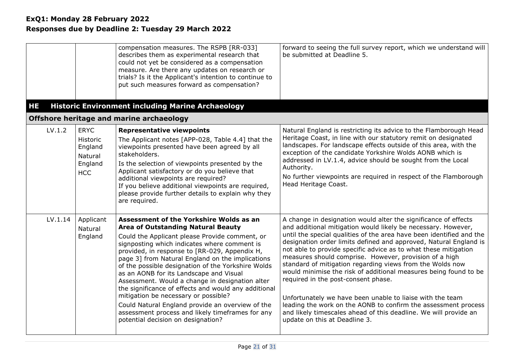<span id="page-20-0"></span>

| <b>HE</b> |                                                                        | compensation measures. The RSPB [RR-033]<br>describes them as experimental research that<br>could not yet be considered as a compensation<br>measure. Are there any updates on research or<br>trials? Is it the Applicant's intention to continue to<br>put such measures forward as compensation?<br><b>Historic Environment including Marine Archaeology</b>                                                                                                                                                                                                                                                                                                                                | forward to seeing the full survey report, which we understand will<br>be submitted at Deadline 5.                                                                                                                                                                                                                                                                                                                                                                                                                                                                                                                                                                                                                                                                                                                      |
|-----------|------------------------------------------------------------------------|-----------------------------------------------------------------------------------------------------------------------------------------------------------------------------------------------------------------------------------------------------------------------------------------------------------------------------------------------------------------------------------------------------------------------------------------------------------------------------------------------------------------------------------------------------------------------------------------------------------------------------------------------------------------------------------------------|------------------------------------------------------------------------------------------------------------------------------------------------------------------------------------------------------------------------------------------------------------------------------------------------------------------------------------------------------------------------------------------------------------------------------------------------------------------------------------------------------------------------------------------------------------------------------------------------------------------------------------------------------------------------------------------------------------------------------------------------------------------------------------------------------------------------|
|           |                                                                        | Offshore heritage and marine archaeology                                                                                                                                                                                                                                                                                                                                                                                                                                                                                                                                                                                                                                                      |                                                                                                                                                                                                                                                                                                                                                                                                                                                                                                                                                                                                                                                                                                                                                                                                                        |
| LV.1.2    | <b>ERYC</b><br>Historic<br>England<br>Natural<br>England<br><b>HCC</b> | <b>Representative viewpoints</b><br>The Applicant notes [APP-028, Table 4.4] that the<br>viewpoints presented have been agreed by all<br>stakeholders.<br>Is the selection of viewpoints presented by the<br>Applicant satisfactory or do you believe that<br>additional viewpoints are required?<br>If you believe additional viewpoints are required,<br>please provide further details to explain why they<br>are required.                                                                                                                                                                                                                                                                | Natural England is restricting its advice to the Flamborough Head<br>Heritage Coast, in line with our statutory remit on designated<br>landscapes. For landscape effects outside of this area, with the<br>exception of the candidate Yorkshire Wolds AONB which is<br>addressed in LV.1.4, advice should be sought from the Local<br>Authority.<br>No further viewpoints are required in respect of the Flamborough<br>Head Heritage Coast.                                                                                                                                                                                                                                                                                                                                                                           |
| LV.1.14   | Applicant<br>Natural<br>England                                        | Assessment of the Yorkshire Wolds as an<br><b>Area of Outstanding Natural Beauty</b><br>Could the Applicant please Provide comment, or<br>signposting which indicates where comment is<br>provided, in response to [RR-029, Appendix H,<br>page 3] from Natural England on the implications<br>of the possible designation of the Yorkshire Wolds<br>as an AONB for its Landscape and Visual<br>Assessment. Would a change in designation alter<br>the significance of effects and would any additional<br>mitigation be necessary or possible?<br>Could Natural England provide an overview of the<br>assessment process and likely timeframes for any<br>potential decision on designation? | A change in designation would alter the significance of effects<br>and additional mitigation would likely be necessary. However,<br>until the special qualities of the area have been identified and the<br>designation order limits defined and approved, Natural England is<br>not able to provide specific advice as to what these mitigation<br>measures should comprise. However, provision of a high<br>standard of mitigation regarding views from the Wolds now<br>would minimise the risk of additional measures being found to be<br>required in the post-consent phase.<br>Unfortunately we have been unable to liaise with the team<br>leading the work on the AONB to confirm the assessment process<br>and likely timescales ahead of this deadline. We will provide an<br>update on this at Deadline 3. |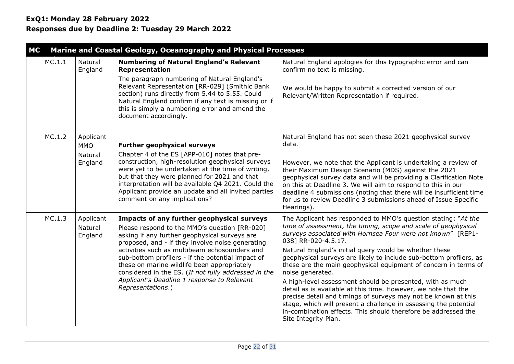<span id="page-21-0"></span>

| <b>MC</b> |                                 | Marine and Coastal Geology, Oceanography and Physical Processes                                                                                                                                                                                                                                                                                       |                                                                                                                                                                                                                                                                                                                                                                                                                      |
|-----------|---------------------------------|-------------------------------------------------------------------------------------------------------------------------------------------------------------------------------------------------------------------------------------------------------------------------------------------------------------------------------------------------------|----------------------------------------------------------------------------------------------------------------------------------------------------------------------------------------------------------------------------------------------------------------------------------------------------------------------------------------------------------------------------------------------------------------------|
| MC.1.1    | Natural<br>England              | <b>Numbering of Natural England's Relevant</b><br>Representation                                                                                                                                                                                                                                                                                      | Natural England apologies for this typographic error and can<br>confirm no text is missing.                                                                                                                                                                                                                                                                                                                          |
|           |                                 | The paragraph numbering of Natural England's<br>Relevant Representation [RR-029] (Smithic Bank<br>section) runs directly from 5.44 to 5.55. Could<br>Natural England confirm if any text is missing or if<br>this is simply a numbering error and amend the<br>document accordingly.                                                                  | We would be happy to submit a corrected version of our<br>Relevant/Written Representation if required.                                                                                                                                                                                                                                                                                                               |
| MC.1.2    | Applicant<br><b>MMO</b>         | <b>Further geophysical surveys</b>                                                                                                                                                                                                                                                                                                                    | Natural England has not seen these 2021 geophysical survey<br>data.                                                                                                                                                                                                                                                                                                                                                  |
|           | Natural<br>England              | Chapter 4 of the ES [APP-010] notes that pre-<br>construction, high-resolution geophysical surveys<br>were yet to be undertaken at the time of writing,<br>but that they were planned for 2021 and that<br>interpretation will be available Q4 2021. Could the<br>Applicant provide an update and all invited parties<br>comment on any implications? | However, we note that the Applicant is undertaking a review of<br>their Maximum Design Scenario (MDS) against the 2021<br>geophysical survey data and will be providing a Clarification Note<br>on this at Deadline 3. We will aim to respond to this in our<br>deadline 4 submissions (noting that there will be insufficient time<br>for us to review Deadline 3 submissions ahead of Issue Specific<br>Hearings). |
| MC.1.3    | Applicant<br>Natural<br>England | Impacts of any further geophysical surveys<br>Please respond to the MMO's question [RR-020]<br>asking if any further geophysical surveys are<br>proposed, and - if they involve noise generating                                                                                                                                                      | The Applicant has responded to MMO's question stating: "At the<br>time of assessment, the timing, scope and scale of geophysical<br>surveys associated with Hornsea Four were not known" [REP1-<br>038] RR-020-4.5.17.                                                                                                                                                                                               |
|           |                                 | activities such as multibeam echosounders and<br>sub-bottom profilers - if the potential impact of<br>these on marine wildlife been appropriately<br>considered in the ES. (If not fully addressed in the                                                                                                                                             | Natural England's initial query would be whether these<br>geophysical surveys are likely to include sub-bottom profilers, as<br>these are the main geophysical equipment of concern in terms of<br>noise generated.                                                                                                                                                                                                  |
|           |                                 | Applicant's Deadline 1 response to Relevant<br>Representations.)                                                                                                                                                                                                                                                                                      | A high-level assessment should be presented, with as much<br>detail as is available at this time. However, we note that the<br>precise detail and timings of surveys may not be known at this<br>stage, which will present a challenge in assessing the potential<br>in-combination effects. This should therefore be addressed the<br>Site Integrity Plan.                                                          |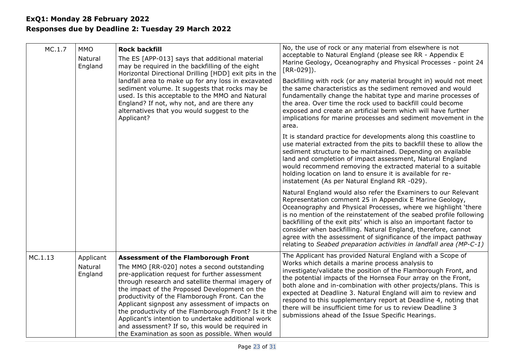| MC.1.7  | <b>MMO</b><br>Natural<br>England | <b>Rock backfill</b><br>The ES [APP-013] says that additional material<br>may be required in the backfilling of the eight<br>Horizontal Directional Drilling [HDD] exit pits in the<br>landfall area to make up for any loss in excavated<br>sediment volume. It suggests that rocks may be<br>used. Is this acceptable to the MMO and Natural<br>England? If not, why not, and are there any<br>alternatives that you would suggest to the<br>Applicant?                                                                                                                   | No, the use of rock or any material from elsewhere is not<br>acceptable to Natural England (please see RR - Appendix E<br>Marine Geology, Oceanography and Physical Processes - point 24<br>$[RR-029]$ ).<br>Backfilling with rock (or any material brought in) would not meet<br>the same characteristics as the sediment removed and would<br>fundamentally change the habitat type and marine processes of<br>the area. Over time the rock used to backfill could become<br>exposed and create an artificial berm which will have further<br>implications for marine processes and sediment movement in the<br>area. |
|---------|----------------------------------|-----------------------------------------------------------------------------------------------------------------------------------------------------------------------------------------------------------------------------------------------------------------------------------------------------------------------------------------------------------------------------------------------------------------------------------------------------------------------------------------------------------------------------------------------------------------------------|-------------------------------------------------------------------------------------------------------------------------------------------------------------------------------------------------------------------------------------------------------------------------------------------------------------------------------------------------------------------------------------------------------------------------------------------------------------------------------------------------------------------------------------------------------------------------------------------------------------------------|
|         |                                  |                                                                                                                                                                                                                                                                                                                                                                                                                                                                                                                                                                             | It is standard practice for developments along this coastline to<br>use material extracted from the pits to backfill these to allow the<br>sediment structure to be maintained. Depending on available<br>land and completion of impact assessment, Natural England<br>would recommend removing the extracted material to a suitable<br>holding location on land to ensure it is available for re-<br>instatement (As per Natural England RR -029).                                                                                                                                                                     |
|         |                                  |                                                                                                                                                                                                                                                                                                                                                                                                                                                                                                                                                                             | Natural England would also refer the Examiners to our Relevant<br>Representation comment 25 in Appendix E Marine Geology,<br>Oceanography and Physical Processes, where we highlight 'there<br>is no mention of the reinstatement of the seabed profile following<br>backfilling of the exit pits' which is also an important factor to<br>consider when backfilling. Natural England, therefore, cannot<br>agree with the assessment of significance of the impact pathway<br>relating to Seabed preparation activities in landfall area (MP-C-1)                                                                      |
| MC.1.13 | Applicant<br>Natural<br>England  | <b>Assessment of the Flamborough Front</b><br>The MMO [RR-020] notes a second outstanding<br>pre-application request for further assessment<br>through research and satellite thermal imagery of<br>the impact of the Proposed Development on the<br>productivity of the Flamborough Front. Can the<br>Applicant signpost any assessment of impacts on<br>the productivity of the Flamborough Front? Is it the<br>Applicant's intention to undertake additional work<br>and assessment? If so, this would be required in<br>the Examination as soon as possible. When would | The Applicant has provided Natural England with a Scope of<br>Works which details a marine process analysis to<br>investigate/validate the position of the Flamborough Front, and<br>the potential impacts of the Hornsea Four array on the Front,<br>both alone and in-combination with other projects/plans. This is<br>expected at Deadline 3. Natural England will aim to review and<br>respond to this supplementary report at Deadline 4, noting that<br>there will be insufficient time for us to review Deadline 3<br>submissions ahead of the Issue Specific Hearings.                                         |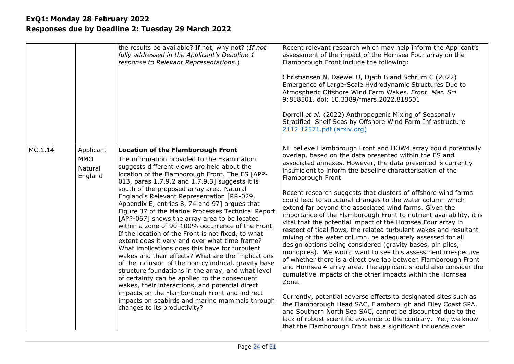|         |                                               | the results be available? If not, why not? (If not<br>fully addressed in the Applicant's Deadline 1<br>response to Relevant Representations.)                                                                                                                                                                                                                                                                                                                                                                                                                                                                                                                                                                                                                                                                                                                                                                                                                                                                                                                                                                           | Recent relevant research which may help inform the Applicant's<br>assessment of the impact of the Hornsea Four array on the<br>Flamborough Front include the following:<br>Christiansen N, Daewel U, Djath B and Schrum C (2022)<br>Emergence of Large-Scale Hydrodynamic Structures Due to<br>Atmospheric Offshore Wind Farm Wakes. Front. Mar. Sci.<br>9:818501. doi: 10.3389/fmars.2022.818501<br>Dorrell et al. (2022) Anthropogenic Mixing of Seasonally<br>Stratified Shelf Seas by Offshore Wind Farm Infrastructure<br>2112.12571.pdf (arxiv.org)                                                                                                                                                                                                                                                                                                                                                                                                                                                                                                                                                                                                                                                                                                                                                                                                                                                                       |
|---------|-----------------------------------------------|-------------------------------------------------------------------------------------------------------------------------------------------------------------------------------------------------------------------------------------------------------------------------------------------------------------------------------------------------------------------------------------------------------------------------------------------------------------------------------------------------------------------------------------------------------------------------------------------------------------------------------------------------------------------------------------------------------------------------------------------------------------------------------------------------------------------------------------------------------------------------------------------------------------------------------------------------------------------------------------------------------------------------------------------------------------------------------------------------------------------------|---------------------------------------------------------------------------------------------------------------------------------------------------------------------------------------------------------------------------------------------------------------------------------------------------------------------------------------------------------------------------------------------------------------------------------------------------------------------------------------------------------------------------------------------------------------------------------------------------------------------------------------------------------------------------------------------------------------------------------------------------------------------------------------------------------------------------------------------------------------------------------------------------------------------------------------------------------------------------------------------------------------------------------------------------------------------------------------------------------------------------------------------------------------------------------------------------------------------------------------------------------------------------------------------------------------------------------------------------------------------------------------------------------------------------------|
| MC.1.14 | Applicant<br><b>MMO</b><br>Natural<br>England | <b>Location of the Flamborough Front</b><br>The information provided to the Examination<br>suggests different views are held about the<br>location of the Flamborough Front. The ES [APP-<br>013, paras 1.7.9.2 and 1.7.9.3] suggests it is<br>south of the proposed array area. Natural<br>England's Relevant Representation [RR-029,<br>Appendix E, entries 8, 74 and 97] argues that<br>Figure 37 of the Marine Processes Technical Report<br>[APP-067] shows the array area to be located<br>within a zone of 90-100% occurrence of the Front.<br>If the location of the Front is not fixed, to what<br>extent does it vary and over what time frame?<br>What implications does this have for turbulent<br>wakes and their effects? What are the implications<br>of the inclusion of the non-cylindrical, gravity base<br>structure foundations in the array, and what level<br>of certainty can be applied to the consequent<br>wakes, their interactions, and potential direct<br>impacts on the Flamborough Front and indirect<br>impacts on seabirds and marine mammals through<br>changes to its productivity? | NE believe Flamborough Front and HOW4 array could potentially<br>overlap, based on the data presented within the ES and<br>associated annexes. However, the data presented is currently<br>insufficient to inform the baseline characterisation of the<br>Flamborough Front.<br>Recent research suggests that clusters of offshore wind farms<br>could lead to structural changes to the water column which<br>extend far beyond the associated wind farms. Given the<br>importance of the Flamborough Front to nutrient availability, it is<br>vital that the potential impact of the Hornsea Four array in<br>respect of tidal flows, the related turbulent wakes and resultant<br>mixing of the water column, be adequately assessed for all<br>design options being considered (gravity bases, pin piles,<br>monopiles). We would want to see this assessment irrespective<br>of whether there is a direct overlap between Flamborough Front<br>and Hornsea 4 array area. The applicant should also consider the<br>cumulative impacts of the other impacts within the Hornsea<br>Zone.<br>Currently, potential adverse effects to designated sites such as<br>the Flamborough Head SAC, Flamborough and Filey Coast SPA,<br>and Southern North Sea SAC, cannot be discounted due to the<br>lack of robust scientific evidence to the contrary. Yet, we know<br>that the Flamborough Front has a significant influence over |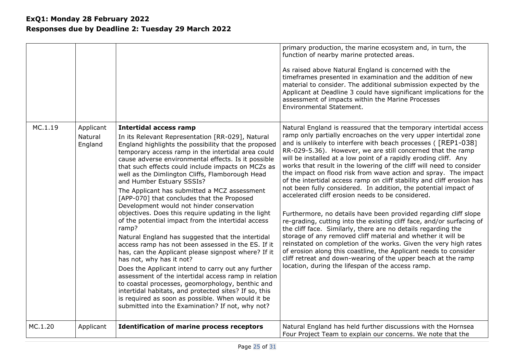|         |                                 |                                                                                                                                                                                                                                                                                                                                                                                                                                                                                                                                                                                                                                                                                                                                                                                                                                                                                                                                                                                                                                                                                                                                                                                                 | primary production, the marine ecosystem and, in turn, the<br>function of nearby marine protected areas.<br>As raised above Natural England is concerned with the<br>timeframes presented in examination and the addition of new<br>material to consider. The additional submission expected by the<br>Applicant at Deadline 3 could have significant implications for the<br>assessment of impacts within the Marine Processes<br>Environmental Statement.                                                                                                                                                                                                                                                                                                                                                                                                                                                                                                                                                                                                                                                                                                                                                                         |
|---------|---------------------------------|-------------------------------------------------------------------------------------------------------------------------------------------------------------------------------------------------------------------------------------------------------------------------------------------------------------------------------------------------------------------------------------------------------------------------------------------------------------------------------------------------------------------------------------------------------------------------------------------------------------------------------------------------------------------------------------------------------------------------------------------------------------------------------------------------------------------------------------------------------------------------------------------------------------------------------------------------------------------------------------------------------------------------------------------------------------------------------------------------------------------------------------------------------------------------------------------------|-------------------------------------------------------------------------------------------------------------------------------------------------------------------------------------------------------------------------------------------------------------------------------------------------------------------------------------------------------------------------------------------------------------------------------------------------------------------------------------------------------------------------------------------------------------------------------------------------------------------------------------------------------------------------------------------------------------------------------------------------------------------------------------------------------------------------------------------------------------------------------------------------------------------------------------------------------------------------------------------------------------------------------------------------------------------------------------------------------------------------------------------------------------------------------------------------------------------------------------|
| MC.1.19 | Applicant<br>Natural<br>England | <b>Intertidal access ramp</b><br>In its Relevant Representation [RR-029], Natural<br>England highlights the possibility that the proposed<br>temporary access ramp in the intertidal area could<br>cause adverse environmental effects. Is it possible<br>that such effects could include impacts on MCZs as<br>well as the Dimlington Cliffs, Flamborough Head<br>and Humber Estuary SSSIs?<br>The Applicant has submitted a MCZ assessment<br>[APP-070] that concludes that the Proposed<br>Development would not hinder conservation<br>objectives. Does this require updating in the light<br>of the potential impact from the intertidal access<br>ramp?<br>Natural England has suggested that the intertidal<br>access ramp has not been assessed in the ES. If it<br>has, can the Applicant please signpost where? If it<br>has not, why has it not?<br>Does the Applicant intend to carry out any further<br>assessment of the intertidal access ramp in relation<br>to coastal processes, geomorphology, benthic and<br>intertidal habitats, and protected sites? If so, this<br>is required as soon as possible. When would it be<br>submitted into the Examination? If not, why not? | Natural England is reassured that the temporary intertidal access<br>ramp only partially encroaches on the very upper intertidal zone<br>and is unlikely to interfere with beach processes ( [REP1-038]<br>RR-029-5.36). However, we are still concerned that the ramp<br>will be installed at a low point of a rapidly eroding cliff. Any<br>works that result in the lowering of the cliff will need to consider<br>the impact on flood risk from wave action and spray. The impact<br>of the intertidal access ramp on cliff stability and cliff erosion has<br>not been fully considered. In addition, the potential impact of<br>accelerated cliff erosion needs to be considered.<br>Furthermore, no details have been provided regarding cliff slope<br>re-grading, cutting into the existing cliff face, and/or surfacing of<br>the cliff face. Similarly, there are no details regarding the<br>storage of any removed cliff material and whether it will be<br>reinstated on completion of the works. Given the very high rates<br>of erosion along this coastline, the Applicant needs to consider<br>cliff retreat and down-wearing of the upper beach at the ramp<br>location, during the lifespan of the access ramp. |
| MC.1.20 | Applicant                       | <b>Identification of marine process receptors</b>                                                                                                                                                                                                                                                                                                                                                                                                                                                                                                                                                                                                                                                                                                                                                                                                                                                                                                                                                                                                                                                                                                                                               | Natural England has held further discussions with the Hornsea<br>Four Project Team to explain our concerns. We note that the                                                                                                                                                                                                                                                                                                                                                                                                                                                                                                                                                                                                                                                                                                                                                                                                                                                                                                                                                                                                                                                                                                        |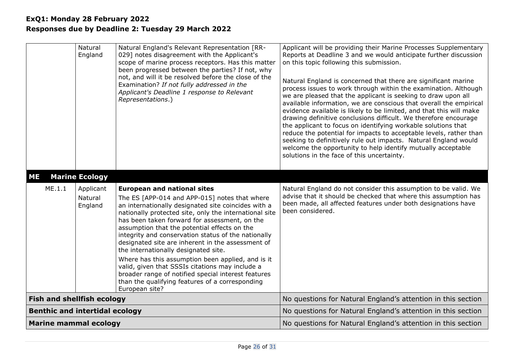<span id="page-25-0"></span>

|                                       |        | Natural<br>England              | Natural England's Relevant Representation [RR-<br>029] notes disagreement with the Applicant's<br>scope of marine process receptors. Has this matter<br>been progressed between the parties? If not, why<br>not, and will it be resolved before the close of the<br>Examination? If not fully addressed in the<br>Applicant's Deadline 1 response to Relevant<br>Representations.)                                                                                                                                                                                                                                                                                                            | Applicant will be providing their Marine Processes Supplementary<br>Reports at Deadline 3 and we would anticipate further discussion<br>on this topic following this submission.<br>Natural England is concerned that there are significant marine<br>process issues to work through within the examination. Although<br>we are pleased that the applicant is seeking to draw upon all<br>available information, we are conscious that overall the empirical<br>evidence available is likely to be limited, and that this will make<br>drawing definitive conclusions difficult. We therefore encourage<br>the applicant to focus on identifying workable solutions that<br>reduce the potential for impacts to acceptable levels, rather than<br>seeking to definitively rule out impacts. Natural England would<br>welcome the opportunity to help identify mutually acceptable<br>solutions in the face of this uncertainty. |
|---------------------------------------|--------|---------------------------------|-----------------------------------------------------------------------------------------------------------------------------------------------------------------------------------------------------------------------------------------------------------------------------------------------------------------------------------------------------------------------------------------------------------------------------------------------------------------------------------------------------------------------------------------------------------------------------------------------------------------------------------------------------------------------------------------------|---------------------------------------------------------------------------------------------------------------------------------------------------------------------------------------------------------------------------------------------------------------------------------------------------------------------------------------------------------------------------------------------------------------------------------------------------------------------------------------------------------------------------------------------------------------------------------------------------------------------------------------------------------------------------------------------------------------------------------------------------------------------------------------------------------------------------------------------------------------------------------------------------------------------------------|
| <b>ME</b>                             |        | <b>Marine Ecology</b>           |                                                                                                                                                                                                                                                                                                                                                                                                                                                                                                                                                                                                                                                                                               |                                                                                                                                                                                                                                                                                                                                                                                                                                                                                                                                                                                                                                                                                                                                                                                                                                                                                                                                 |
|                                       | ME.1.1 | Applicant<br>Natural<br>England | <b>European and national sites</b><br>The ES [APP-014 and APP-015] notes that where<br>an internationally designated site coincides with a<br>nationally protected site, only the international site<br>has been taken forward for assessment, on the<br>assumption that the potential effects on the<br>integrity and conservation status of the nationally<br>designated site are inherent in the assessment of<br>the internationally designated site.<br>Where has this assumption been applied, and is it<br>valid, given that SSSIs citations may include a<br>broader range of notified special interest features<br>than the qualifying features of a corresponding<br>European site? | Natural England do not consider this assumption to be valid. We<br>advise that it should be checked that where this assumption has<br>been made, all affected features under both designations have<br>been considered.                                                                                                                                                                                                                                                                                                                                                                                                                                                                                                                                                                                                                                                                                                         |
| <b>Fish and shellfish ecology</b>     |        |                                 |                                                                                                                                                                                                                                                                                                                                                                                                                                                                                                                                                                                                                                                                                               | No questions for Natural England's attention in this section                                                                                                                                                                                                                                                                                                                                                                                                                                                                                                                                                                                                                                                                                                                                                                                                                                                                    |
| <b>Benthic and intertidal ecology</b> |        |                                 |                                                                                                                                                                                                                                                                                                                                                                                                                                                                                                                                                                                                                                                                                               | No questions for Natural England's attention in this section                                                                                                                                                                                                                                                                                                                                                                                                                                                                                                                                                                                                                                                                                                                                                                                                                                                                    |
| <b>Marine mammal ecology</b>          |        |                                 |                                                                                                                                                                                                                                                                                                                                                                                                                                                                                                                                                                                                                                                                                               | No questions for Natural England's attention in this section                                                                                                                                                                                                                                                                                                                                                                                                                                                                                                                                                                                                                                                                                                                                                                                                                                                                    |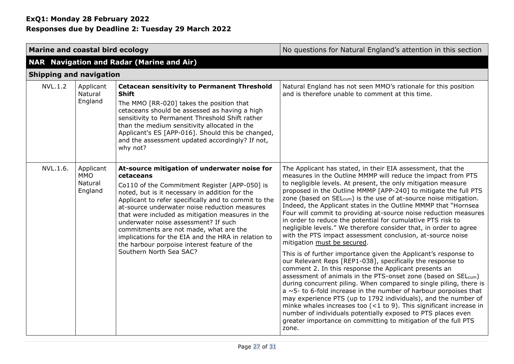<span id="page-26-0"></span>

| Marine and coastal bird ecology                           |                                                                                                                                                                                                                                                                                                                                                                                                                                                                                                                                               | No questions for Natural England's attention in this section                                                                                                                                                                                                                                                                                                                                                                                                                                                                                                                                                                                                                                                                                                                                                                                                                                                                                                                                                                                                                                                                                                                                                                                                                                                                                                                                                                 |  |  |
|-----------------------------------------------------------|-----------------------------------------------------------------------------------------------------------------------------------------------------------------------------------------------------------------------------------------------------------------------------------------------------------------------------------------------------------------------------------------------------------------------------------------------------------------------------------------------------------------------------------------------|------------------------------------------------------------------------------------------------------------------------------------------------------------------------------------------------------------------------------------------------------------------------------------------------------------------------------------------------------------------------------------------------------------------------------------------------------------------------------------------------------------------------------------------------------------------------------------------------------------------------------------------------------------------------------------------------------------------------------------------------------------------------------------------------------------------------------------------------------------------------------------------------------------------------------------------------------------------------------------------------------------------------------------------------------------------------------------------------------------------------------------------------------------------------------------------------------------------------------------------------------------------------------------------------------------------------------------------------------------------------------------------------------------------------------|--|--|
| <b>NAR Navigation and Radar (Marine and Air)</b>          |                                                                                                                                                                                                                                                                                                                                                                                                                                                                                                                                               |                                                                                                                                                                                                                                                                                                                                                                                                                                                                                                                                                                                                                                                                                                                                                                                                                                                                                                                                                                                                                                                                                                                                                                                                                                                                                                                                                                                                                              |  |  |
|                                                           | <b>Shipping and navigation</b>                                                                                                                                                                                                                                                                                                                                                                                                                                                                                                                |                                                                                                                                                                                                                                                                                                                                                                                                                                                                                                                                                                                                                                                                                                                                                                                                                                                                                                                                                                                                                                                                                                                                                                                                                                                                                                                                                                                                                              |  |  |
| NVL.1.2<br>Applicant<br>Natural<br>England                | <b>Cetacean sensitivity to Permanent Threshold</b><br><b>Shift</b><br>The MMO [RR-020] takes the position that<br>cetaceans should be assessed as having a high<br>sensitivity to Permanent Threshold Shift rather<br>than the medium sensitivity allocated in the<br>Applicant's ES [APP-016]. Should this be changed,<br>and the assessment updated accordingly? If not,<br>why not?                                                                                                                                                        | Natural England has not seen MMO's rationale for this position<br>and is therefore unable to comment at this time.                                                                                                                                                                                                                                                                                                                                                                                                                                                                                                                                                                                                                                                                                                                                                                                                                                                                                                                                                                                                                                                                                                                                                                                                                                                                                                           |  |  |
| NVL.1.6.<br>Applicant<br><b>MMO</b><br>Natural<br>England | At-source mitigation of underwater noise for<br>cetaceans<br>Co110 of the Commitment Register [APP-050] is<br>noted, but is it necessary in addition for the<br>Applicant to refer specifically and to commit to the<br>at-source underwater noise reduction measures<br>that were included as mitigation measures in the<br>underwater noise assessment? If such<br>commitments are not made, what are the<br>implications for the EIA and the HRA in relation to<br>the harbour porpoise interest feature of the<br>Southern North Sea SAC? | The Applicant has stated, in their EIA assessment, that the<br>measures in the Outline MMMP will reduce the impact from PTS<br>to negligible levels. At present, the only mitigation measure<br>proposed in the Outline MMMP [APP-240] to mitigate the full PTS<br>zone (based on SEL <sub>cum</sub> ) is the use of at-source noise mitigation.<br>Indeed, the Applicant states in the Outline MMMP that "Hornsea<br>Four will commit to providing at-source noise reduction measures<br>in order to reduce the potential for cumulative PTS risk to<br>negligible levels." We therefore consider that, in order to agree<br>with the PTS impact assessment conclusion, at-source noise<br>mitigation must be secured.<br>This is of further importance given the Applicant's response to<br>our Relevant Reps [REP1-038], specifically the response to<br>comment 2. In this response the Applicant presents an<br>assessment of animals in the PTS-onset zone (based on SEL <sub>cum</sub> )<br>during concurrent piling. When compared to single piling, there is<br>$a \sim 5$ - to 6-fold increase in the number of harbour porpoises that<br>may experience PTS (up to 1792 individuals), and the number of<br>minke whales increases too $(<1$ to 9). This significant increase in<br>number of individuals potentially exposed to PTS places even<br>greater importance on committing to mitigation of the full PTS |  |  |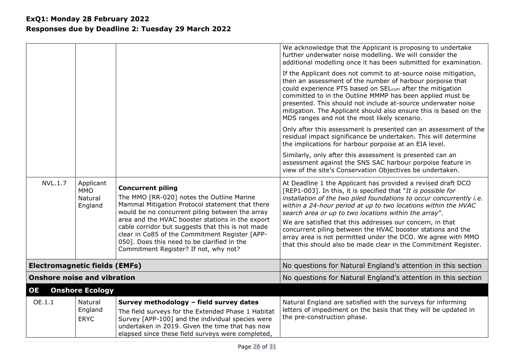<span id="page-27-0"></span>

| <b>NVL.1.7</b>                       | Applicant<br><b>MMO</b><br>Natural<br>England | <b>Concurrent piling</b><br>The MMO [RR-020] notes the Outline Marine<br>Mammal Mitigation Protocol statement that there<br>would be no concurrent piling between the array<br>area and the HVAC booster stations in the export<br>cable corridor but suggests that this is not made<br>clear in Co85 of the Commitment Register [APP-<br>050]. Does this need to be clarified in the<br>Commitment Register? If not, why not? | We acknowledge that the Applicant is proposing to undertake<br>further underwater noise modelling. We will consider the<br>additional modelling once it has been submitted for examination.<br>If the Applicant does not commit to at-source noise mitigation,<br>then an assessment of the number of harbour porpoise that<br>could experience PTS based on SEL <sub>cum</sub> after the mitigation<br>committed to in the Outline MMMP has been applied must be<br>presented. This should not include at-source underwater noise<br>mitigation. The Applicant should also ensure this is based on the<br>MDS ranges and not the most likely scenario.<br>Only after this assessment is presented can an assessment of the<br>residual impact significance be undertaken. This will determine<br>the implications for harbour porpoise at an EIA level.<br>Similarly, only after this assessment is presented can an<br>assessment against the SNS SAC harbour porpoise feature in<br>view of the site's Conservation Objectives be undertaken.<br>At Deadline 1 the Applicant has provided a revised draft DCO<br>[REP1-003]. In this, it is specified that "It is possible for<br>installation of the two piled foundations to occur concurrently i.e.<br>within a 24-hour period at up to two locations within the HVAC<br>search area or up to two locations within the array".<br>We are satisfied that this addresses our concern, in that<br>concurrent piling between the HVAC booster stations and the<br>array area is not permitted under the DCO. We agree with MMO<br>that this should also be made clear in the Commitment Register. |
|--------------------------------------|-----------------------------------------------|--------------------------------------------------------------------------------------------------------------------------------------------------------------------------------------------------------------------------------------------------------------------------------------------------------------------------------------------------------------------------------------------------------------------------------|-----------------------------------------------------------------------------------------------------------------------------------------------------------------------------------------------------------------------------------------------------------------------------------------------------------------------------------------------------------------------------------------------------------------------------------------------------------------------------------------------------------------------------------------------------------------------------------------------------------------------------------------------------------------------------------------------------------------------------------------------------------------------------------------------------------------------------------------------------------------------------------------------------------------------------------------------------------------------------------------------------------------------------------------------------------------------------------------------------------------------------------------------------------------------------------------------------------------------------------------------------------------------------------------------------------------------------------------------------------------------------------------------------------------------------------------------------------------------------------------------------------------------------------------------------------------------------------------------------------------------------------------------------|
| <b>Electromagnetic fields (EMFs)</b> |                                               |                                                                                                                                                                                                                                                                                                                                                                                                                                | No questions for Natural England's attention in this section                                                                                                                                                                                                                                                                                                                                                                                                                                                                                                                                                                                                                                                                                                                                                                                                                                                                                                                                                                                                                                                                                                                                                                                                                                                                                                                                                                                                                                                                                                                                                                                        |
| <b>Onshore noise and vibration</b>   |                                               |                                                                                                                                                                                                                                                                                                                                                                                                                                | No questions for Natural England's attention in this section                                                                                                                                                                                                                                                                                                                                                                                                                                                                                                                                                                                                                                                                                                                                                                                                                                                                                                                                                                                                                                                                                                                                                                                                                                                                                                                                                                                                                                                                                                                                                                                        |
| OE                                   | <b>Onshore Ecology</b>                        |                                                                                                                                                                                                                                                                                                                                                                                                                                |                                                                                                                                                                                                                                                                                                                                                                                                                                                                                                                                                                                                                                                                                                                                                                                                                                                                                                                                                                                                                                                                                                                                                                                                                                                                                                                                                                                                                                                                                                                                                                                                                                                     |
| OE.1.1                               | Natural<br>England<br><b>ERYC</b>             | Survey methodology - field survey dates<br>The field surveys for the Extended Phase 1 Habitat<br>Survey [APP-100] and the individual species were<br>undertaken in 2019. Given the time that has now<br>elapsed since these field surveys were completed,                                                                                                                                                                      | Natural England are satisfied with the surveys for informing<br>letters of impediment on the basis that they will be updated in<br>the pre-construction phase.                                                                                                                                                                                                                                                                                                                                                                                                                                                                                                                                                                                                                                                                                                                                                                                                                                                                                                                                                                                                                                                                                                                                                                                                                                                                                                                                                                                                                                                                                      |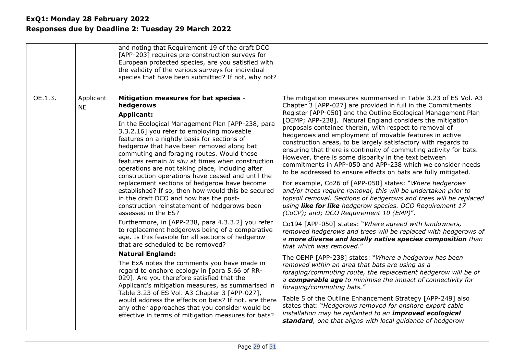|         |                        | and noting that Requirement 19 of the draft DCO<br>[APP-203] requires pre-construction surveys for<br>European protected species, are you satisfied with<br>the validity of the various surveys for individual<br>species that have been submitted? If not, why not?                                                                                                                                                                                                                                                                                                                                                                                                                                                                                                                                                                                                                                                                                                                                                                                                                                                                                                                                                                                                                                                                                           |                                                                                                                                                                                                                                                                                                                                                                                                                                                                                                                                                                                                                                                                                                                                                                                                                                                                                                                                                                                                                                                                                                                                                                                                                                                                                                                                                                                                                                                                                                                                                                                                                                                                                                                                                                                  |
|---------|------------------------|----------------------------------------------------------------------------------------------------------------------------------------------------------------------------------------------------------------------------------------------------------------------------------------------------------------------------------------------------------------------------------------------------------------------------------------------------------------------------------------------------------------------------------------------------------------------------------------------------------------------------------------------------------------------------------------------------------------------------------------------------------------------------------------------------------------------------------------------------------------------------------------------------------------------------------------------------------------------------------------------------------------------------------------------------------------------------------------------------------------------------------------------------------------------------------------------------------------------------------------------------------------------------------------------------------------------------------------------------------------|----------------------------------------------------------------------------------------------------------------------------------------------------------------------------------------------------------------------------------------------------------------------------------------------------------------------------------------------------------------------------------------------------------------------------------------------------------------------------------------------------------------------------------------------------------------------------------------------------------------------------------------------------------------------------------------------------------------------------------------------------------------------------------------------------------------------------------------------------------------------------------------------------------------------------------------------------------------------------------------------------------------------------------------------------------------------------------------------------------------------------------------------------------------------------------------------------------------------------------------------------------------------------------------------------------------------------------------------------------------------------------------------------------------------------------------------------------------------------------------------------------------------------------------------------------------------------------------------------------------------------------------------------------------------------------------------------------------------------------------------------------------------------------|
| OE.1.3. | Applicant<br><b>NE</b> | Mitigation measures for bat species -<br>hedgerows<br><b>Applicant:</b><br>In the Ecological Management Plan [APP-238, para]<br>3.3.2.16] you refer to employing moveable<br>features on a nightly basis for sections of<br>hedgerow that have been removed along bat<br>commuting and foraging routes. Would these<br>features remain in situ at times when construction<br>operations are not taking place, including after<br>construction operations have ceased and until the<br>replacement sections of hedgerow have become<br>established? If so, then how would this be secured<br>in the draft DCO and how has the post-<br>construction reinstatement of hedgerows been<br>assessed in the ES?<br>Furthermore, in [APP-238, para 4.3.3.2] you refer<br>to replacement hedgerows being of a comparative<br>age. Is this feasible for all sections of hedgerow<br>that are scheduled to be removed?<br><b>Natural England:</b><br>The ExA notes the comments you have made in<br>regard to onshore ecology in [para 5.66 of RR-<br>029]. Are you therefore satisfied that the<br>Applicant's mitigation measures, as summarised in<br>Table 3.23 of ES Vol. A3 Chapter 3 [APP-027],<br>would address the effects on bats? If not, are there<br>any other approaches that you consider would be<br>effective in terms of mitigation measures for bats? | The mitigation measures summarised in Table 3.23 of ES Vol. A3<br>Chapter 3 [APP-027] are provided in full in the Commitments<br>Register [APP-050] and the Outline Ecological Management Plan<br>[OEMP; APP-238]. Natural England considers the mitigation<br>proposals contained therein, with respect to removal of<br>hedgerows and employment of movable features in active<br>construction areas, to be largely satisfactory with regards to<br>ensuring that there is continuity of commuting activity for bats.<br>However, there is some disparity in the text between<br>commitments in APP-050 and APP-238 which we consider needs<br>to be addressed to ensure effects on bats are fully mitigated.<br>For example, Co26 of [APP-050] states: "Where hedgerows<br>and/or trees require removal, this will be undertaken prior to<br>topsoil removal. Sections of hedgerows and trees will be replaced<br>using like for like hedgerow species. DCO Requirement 17<br>(CoCP); and; DCO Requirement 10 (EMP)".<br>Co194 [APP-050] states: "Where agreed with landowners,<br>removed hedgerows and trees will be replaced with hedgerows of<br>a more diverse and locally native species composition than<br>that which was removed."<br>The OEMP [APP-238] states: "Where a hedgerow has been<br>removed within an area that bats are using as a<br>foraging/commuting route, the replacement hedgerow will be of<br>a comparable age to minimise the impact of connectivity for<br>foraging/commuting bats."<br>Table 5 of the Outline Enhancement Strategy [APP-249] also<br>states that: "Hedgerows removed for onshore export cable<br>installation may be replanted to an <i>improved</i> ecological<br>standard, one that aligns with local guidance of hedgerow |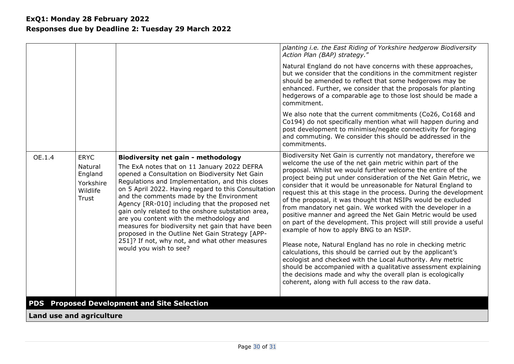<span id="page-29-0"></span>

|                          |                                                                            |                                                                                                                                                                                                                                                                                                                                                                                                                                                                                                                                                                                                                                           | planting i.e. the East Riding of Yorkshire hedgerow Biodiversity<br>Action Plan (BAP) strategy."                                                                                                                                                                                                                                                                                                                                                                                                                                                                                                                                                                                                                                                                                                                                                                                                                                                                                                                                                                                                        |
|--------------------------|----------------------------------------------------------------------------|-------------------------------------------------------------------------------------------------------------------------------------------------------------------------------------------------------------------------------------------------------------------------------------------------------------------------------------------------------------------------------------------------------------------------------------------------------------------------------------------------------------------------------------------------------------------------------------------------------------------------------------------|---------------------------------------------------------------------------------------------------------------------------------------------------------------------------------------------------------------------------------------------------------------------------------------------------------------------------------------------------------------------------------------------------------------------------------------------------------------------------------------------------------------------------------------------------------------------------------------------------------------------------------------------------------------------------------------------------------------------------------------------------------------------------------------------------------------------------------------------------------------------------------------------------------------------------------------------------------------------------------------------------------------------------------------------------------------------------------------------------------|
|                          |                                                                            |                                                                                                                                                                                                                                                                                                                                                                                                                                                                                                                                                                                                                                           | Natural England do not have concerns with these approaches,<br>but we consider that the conditions in the commitment register<br>should be amended to reflect that some hedgerows may be<br>enhanced. Further, we consider that the proposals for planting<br>hedgerows of a comparable age to those lost should be made a<br>commitment.                                                                                                                                                                                                                                                                                                                                                                                                                                                                                                                                                                                                                                                                                                                                                               |
|                          |                                                                            |                                                                                                                                                                                                                                                                                                                                                                                                                                                                                                                                                                                                                                           | We also note that the current commitments (Co26, Co168 and<br>Co194) do not specifically mention what will happen during and<br>post development to minimise/negate connectivity for foraging<br>and commuting. We consider this should be addressed in the<br>commitments.                                                                                                                                                                                                                                                                                                                                                                                                                                                                                                                                                                                                                                                                                                                                                                                                                             |
| OE.1.4                   | <b>ERYC</b><br>Natural<br>England<br>Yorkshire<br>Wildlife<br><b>Trust</b> | <b>Biodiversity net gain - methodology</b><br>The ExA notes that on 11 January 2022 DEFRA<br>opened a Consultation on Biodiversity Net Gain<br>Regulations and Implementation, and this closes<br>on 5 April 2022. Having regard to this Consultation<br>and the comments made by the Environment<br>Agency [RR-010] including that the proposed net<br>gain only related to the onshore substation area,<br>are you content with the methodology and<br>measures for biodiversity net gain that have been<br>proposed in the Outline Net Gain Strategy [APP-<br>251]? If not, why not, and what other measures<br>would you wish to see? | Biodiversity Net Gain is currently not mandatory, therefore we<br>welcome the use of the net gain metric within part of the<br>proposal. Whilst we would further welcome the entire of the<br>project being put under consideration of the Net Gain Metric, we<br>consider that it would be unreasonable for Natural England to<br>request this at this stage in the process. During the development<br>of the proposal, it was thought that NSIPs would be excluded<br>from mandatory net gain. We worked with the developer in a<br>positive manner and agreed the Net Gain Metric would be used<br>on part of the development. This project will still provide a useful<br>example of how to apply BNG to an NSIP.<br>Please note, Natural England has no role in checking metric<br>calculations, this should be carried out by the applicant's<br>ecologist and checked with the Local Authority. Any metric<br>should be accompanied with a qualitative assessment explaining<br>the decisions made and why the overall plan is ecologically<br>coherent, along with full access to the raw data. |
|                          |                                                                            | <b>PDS</b> Proposed Development and Site Selection                                                                                                                                                                                                                                                                                                                                                                                                                                                                                                                                                                                        |                                                                                                                                                                                                                                                                                                                                                                                                                                                                                                                                                                                                                                                                                                                                                                                                                                                                                                                                                                                                                                                                                                         |
| Land use and agriculture |                                                                            |                                                                                                                                                                                                                                                                                                                                                                                                                                                                                                                                                                                                                                           |                                                                                                                                                                                                                                                                                                                                                                                                                                                                                                                                                                                                                                                                                                                                                                                                                                                                                                                                                                                                                                                                                                         |